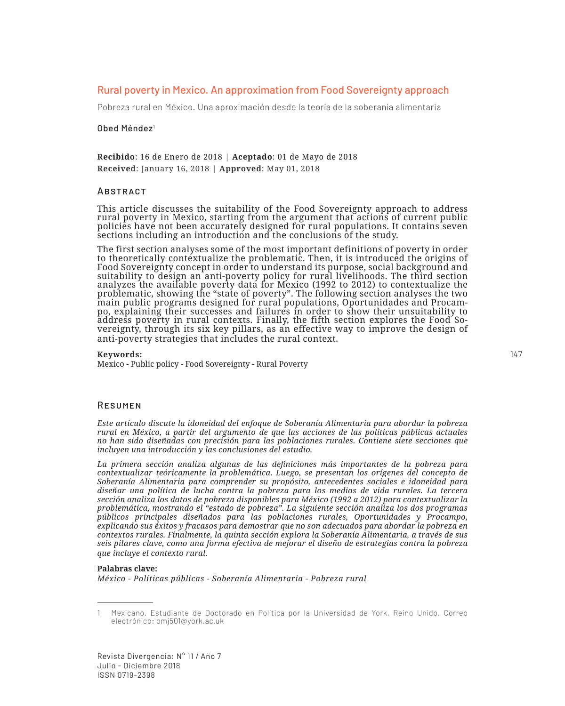# Rural poverty in Mexico. An approximation from Food Sovereignty approach

Pobreza rural en México. Una aproximación desde la teoría de la soberanía alimentaria

### Obed Méndez<sup>1</sup>

**Recibido**: 16 de Enero de 2018 | **Aceptado**: 01 de Mayo de 2018 **Received**: January 16, 2018 | **Approved**: May 01, 2018

### **ABSTRACT**

This article discusses the suitability of the Food Sovereignty approach to address rural poverty in Mexico, starting from the argument that actions of current public policies have not been accurately designed for rural populations. It contains seven sections including an introduction and the conclusions of the study.

The first section analyses some of the most important definitions of poverty in order to theoretically contextualize the problematic. Then, it is introduced the origins of Food Sovereignty concept in order to understand its purpose, social background and suitability to design an anti-poverty policy for rural livelihoods. The third section analyzes the available poverty data for Mexico (1992 to 2012) to contextualize the problematic, showing the "state of poverty". The following section analyses the two main public programs designed for rural populations, Oportunidades and Procam-<br>po, explaining their successes and failures in order to show their unsuitability to po, explaining their successes and failures in order to show their unsuitability to address poverty in rural contexts. Finally, the fifth section explores the Food Sovereignty, through its six key pillars, as an effective anti-poverty strategies that includes the rural context.

#### **Keywords:**

Mexico - Public policy - Food Sovereignty - Rural Poverty

### Resumen

*Este artículo discute la idoneidad del enfoque de Soberanía Alimentaria para abordar la pobreza rural en México, a partir del argumento de que las acciones de las políticas públicas actuales no han sido diseñadas con precisión para las poblaciones rurales. Contiene siete secciones que incluyen una introducción y las conclusiones del estudio.*

*La primera sección analiza algunas de las definiciones más importantes de la pobreza para contextualizar teóricamente la problemática. Luego, se presentan los orígenes del concepto de Soberanía Alimentaria para comprender su propósito, antecedentes sociales e idoneidad para diseñar una política de lucha contra la pobreza para los medios de vida rurales. La tercera sección analiza los datos de pobreza disponibles para México (1992 a 2012) para contextualizar la problemática, mostrando el "estado de pobreza". La siguiente sección analiza los dos programas públicos principales diseñados para las poblaciones rurales, Oportunidades y Procampo, explicando sus éxitos y fracasos para demostrar que no son adecuados para abordar la pobreza en contextos rurales. Finalmente, la quinta sección explora la Soberanía Alimentaria, a través de sus seis pilares clave, como una forma efectiva de mejorar el diseño de estrategias contra la pobreza que incluye el contexto rural.*

#### **Palabras clave:**

*México - Políticas públicas - Soberanía Alimentaria - Pobreza rural*

<sup>1</sup> Mexicano. Estudiante de Doctorado en Política por la Universidad de York, Reino Unido. Correo electrónico: omj501@york.ac.uk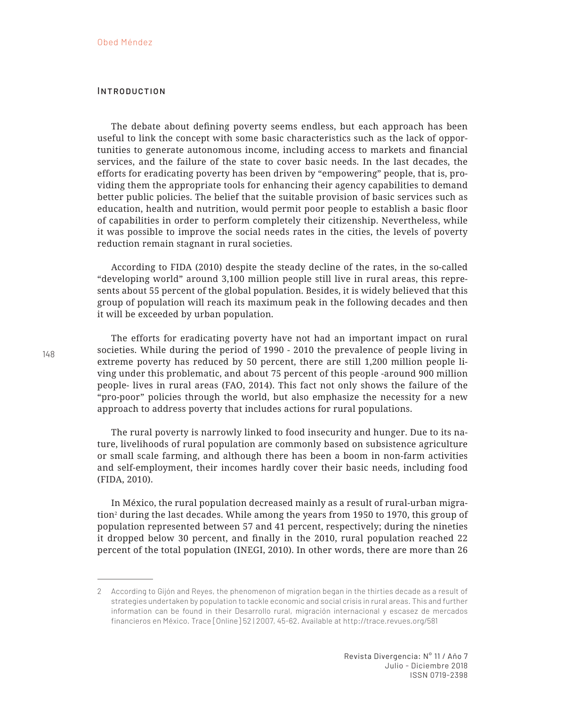## **INTRODUCTION**

The debate about defining poverty seems endless, but each approach has been useful to link the concept with some basic characteristics such as the lack of opportunities to generate autonomous income, including access to markets and financial services, and the failure of the state to cover basic needs. In the last decades, the efforts for eradicating poverty has been driven by "empowering" people, that is, providing them the appropriate tools for enhancing their agency capabilities to demand better public policies. The belief that the suitable provision of basic services such as education, health and nutrition, would permit poor people to establish a basic floor of capabilities in order to perform completely their citizenship. Nevertheless, while it was possible to improve the social needs rates in the cities, the levels of poverty reduction remain stagnant in rural societies.

According to FIDA (2010) despite the steady decline of the rates, in the so-called "developing world" around 3,100 million people still live in rural areas, this represents about 55 percent of the global population. Besides, it is widely believed that this group of population will reach its maximum peak in the following decades and then it will be exceeded by urban population.

The efforts for eradicating poverty have not had an important impact on rural societies. While during the period of 1990 - 2010 the prevalence of people living in extreme poverty has reduced by 50 percent, there are still 1,200 million people living under this problematic, and about 75 percent of this people -around 900 million people- lives in rural areas (FAO, 2014). This fact not only shows the failure of the "pro-poor" policies through the world, but also emphasize the necessity for a new approach to address poverty that includes actions for rural populations.

The rural poverty is narrowly linked to food insecurity and hunger. Due to its nature, livelihoods of rural population are commonly based on subsistence agriculture or small scale farming, and although there has been a boom in non-farm activities and self-employment, their incomes hardly cover their basic needs, including food (FIDA, 2010).

In México, the rural population decreased mainly as a result of rural-urban migration2 during the last decades. While among the years from 1950 to 1970, this group of population represented between 57 and 41 percent, respectively; during the nineties it dropped below 30 percent, and finally in the 2010, rural population reached 22 percent of the total population (INEGI, 2010). In other words, there are more than 26

<sup>2</sup> According to Gijón and Reyes, the phenomenon of migration began in the thirties decade as a result of strategies undertaken by population to tackle economic and social crisis in rural areas. This and further information can be found in their Desarrollo rural, migración internacional y escasez de mercados financieros en México. Trace [Online] 52 | 2007, 45-62. Available at http://trace.revues.org/581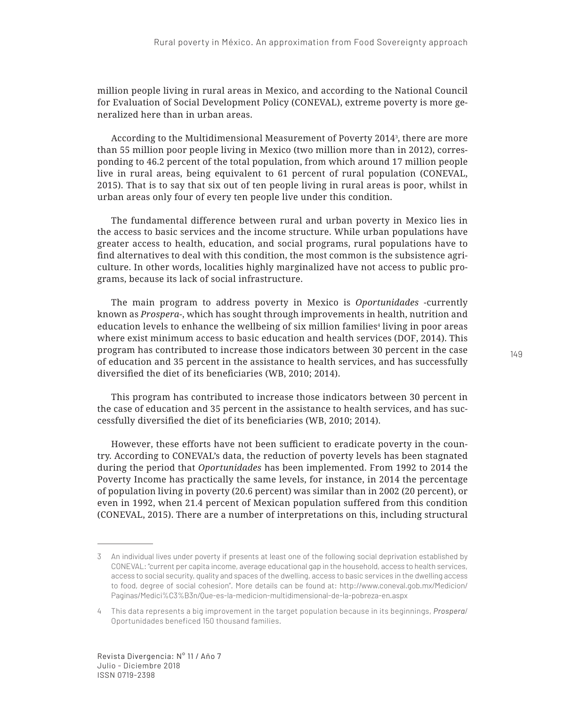million people living in rural areas in Mexico, and according to the National Council for Evaluation of Social Development Policy (CONEVAL), extreme poverty is more generalized here than in urban areas.

According to the Multidimensional Measurement of Poverty 20143 , there are more than 55 million poor people living in Mexico (two million more than in 2012), corresponding to 46.2 percent of the total population, from which around 17 million people live in rural areas, being equivalent to 61 percent of rural population (CONEVAL, 2015). That is to say that six out of ten people living in rural areas is poor, whilst in urban areas only four of every ten people live under this condition.

The fundamental difference between rural and urban poverty in Mexico lies in the access to basic services and the income structure. While urban populations have greater access to health, education, and social programs, rural populations have to find alternatives to deal with this condition, the most common is the subsistence agriculture. In other words, localities highly marginalized have not access to public programs, because its lack of social infrastructure.

The main program to address poverty in Mexico is *Oportunidades* -currently known as *Prospera*-, which has sought through improvements in health, nutrition and education levels to enhance the wellbeing of six million families<sup>4</sup> living in poor areas where exist minimum access to basic education and health services (DOF, 2014). This program has contributed to increase those indicators between 30 percent in the case of education and 35 percent in the assistance to health services, and has successfully diversified the diet of its beneficiaries (WB, 2010; 2014).

This program has contributed to increase those indicators between 30 percent in the case of education and 35 percent in the assistance to health services, and has successfully diversified the diet of its beneficiaries (WB, 2010; 2014).

However, these efforts have not been sufficient to eradicate poverty in the country. According to CONEVAL's data, the reduction of poverty levels has been stagnated during the period that *Oportunidades* has been implemented. From 1992 to 2014 the Poverty Income has practically the same levels, for instance, in 2014 the percentage of population living in poverty (20.6 percent) was similar than in 2002 (20 percent), or even in 1992, when 21.4 percent of Mexican population suffered from this condition (CONEVAL, 2015). There are a number of interpretations on this, including structural

<sup>3</sup> An individual lives under poverty if presents at least one of the following social deprivation established by CONEVAL: "current per capita income, average educational gap in the household, access to health services, access to social security, quality and spaces of the dwelling, access to basic services in the dwelling access to food, degree of social cohesion". More details can be found at: http://www.coneval.gob.mx/Medicion/ Paginas/Medici%C3%B3n/Que-es-la-medicion-multidimensional-de-la-pobreza-en.aspx

<sup>4</sup> This data represents a big improvement in the target population because in its beginnings, *Prospera*/ Oportunidades beneficed 150 thousand families.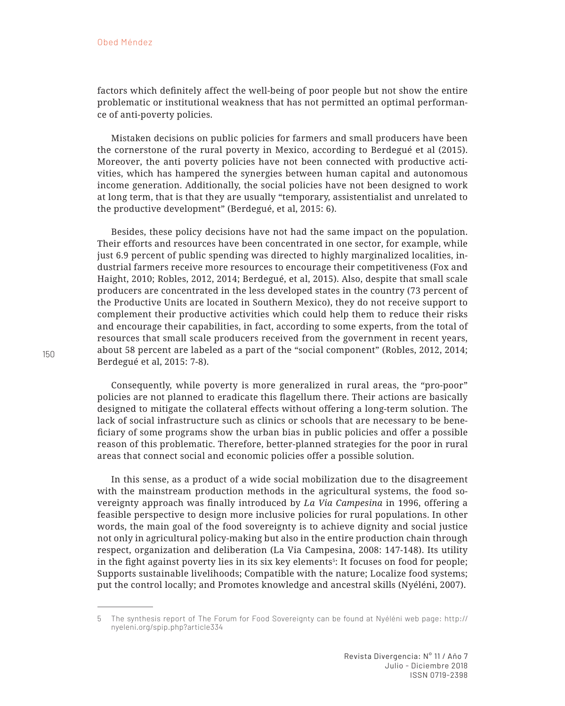factors which definitely affect the well-being of poor people but not show the entire problematic or institutional weakness that has not permitted an optimal performance of anti-poverty policies.

Mistaken decisions on public policies for farmers and small producers have been the cornerstone of the rural poverty in Mexico, according to Berdegué et al (2015). Moreover, the anti poverty policies have not been connected with productive activities, which has hampered the synergies between human capital and autonomous income generation. Additionally, the social policies have not been designed to work at long term, that is that they are usually "temporary, assistentialist and unrelated to the productive development" (Berdegué, et al, 2015: 6).

Besides, these policy decisions have not had the same impact on the population. Their efforts and resources have been concentrated in one sector, for example, while just 6.9 percent of public spending was directed to highly marginalized localities, industrial farmers receive more resources to encourage their competitiveness (Fox and Haight, 2010; Robles, 2012, 2014; Berdegué, et al, 2015). Also, despite that small scale producers are concentrated in the less developed states in the country (73 percent of the Productive Units are located in Southern Mexico), they do not receive support to complement their productive activities which could help them to reduce their risks and encourage their capabilities, in fact, according to some experts, from the total of resources that small scale producers received from the government in recent years, about 58 percent are labeled as a part of the "social component" (Robles, 2012, 2014; Berdegué et al, 2015: 7-8).

Consequently, while poverty is more generalized in rural areas, the "pro-poor" policies are not planned to eradicate this flagellum there. Their actions are basically designed to mitigate the collateral effects without offering a long-term solution. The lack of social infrastructure such as clinics or schools that are necessary to be beneficiary of some programs show the urban bias in public policies and offer a possible reason of this problematic. Therefore, better-planned strategies for the poor in rural areas that connect social and economic policies offer a possible solution.

In this sense, as a product of a wide social mobilization due to the disagreement with the mainstream production methods in the agricultural systems, the food sovereignty approach was finally introduced by *La Via Campesina* in 1996, offering a feasible perspective to design more inclusive policies for rural populations. In other words, the main goal of the food sovereignty is to achieve dignity and social justice not only in agricultural policy-making but also in the entire production chain through respect, organization and deliberation (La Via Campesina, 2008: 147-148). Its utility in the fight against poverty lies in its six key elements<sup>5</sup>: It focuses on food for people; Supports sustainable livelihoods; Compatible with the nature; Localize food systems; put the control locally; and Promotes knowledge and ancestral skills (Nyéléni, 2007).

<sup>5</sup> The synthesis report of The Forum for Food Sovereignty can be found at Nyéléni web page: http:// nyeleni.org/spip.php?article334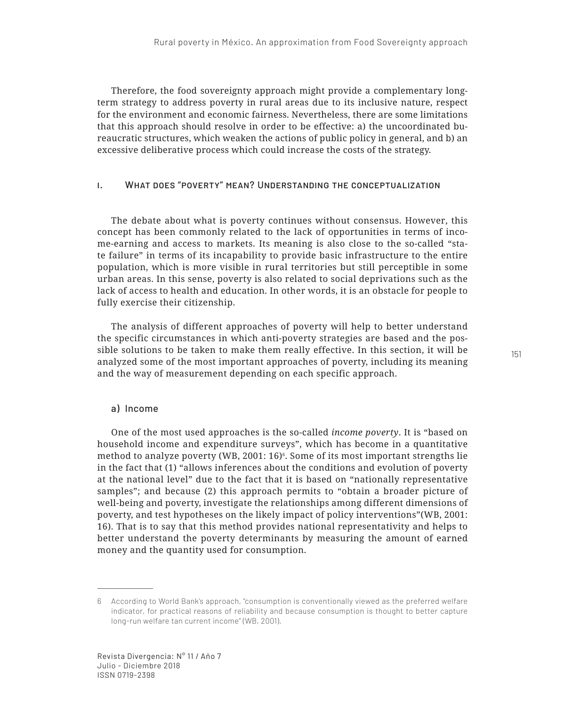Therefore, the food sovereignty approach might provide a complementary longterm strategy to address poverty in rural areas due to its inclusive nature, respect for the environment and economic fairness. Nevertheless, there are some limitations that this approach should resolve in order to be effective: a) the uncoordinated bureaucratic structures, which weaken the actions of public policy in general, and b) an excessive deliberative process which could increase the costs of the strategy.

## i. What does "poverty" mean? Understanding the conceptualization

The debate about what is poverty continues without consensus. However, this concept has been commonly related to the lack of opportunities in terms of income-earning and access to markets. Its meaning is also close to the so-called "state failure" in terms of its incapability to provide basic infrastructure to the entire population, which is more visible in rural territories but still perceptible in some urban areas. In this sense, poverty is also related to social deprivations such as the lack of access to health and education. In other words, it is an obstacle for people to fully exercise their citizenship.

The analysis of different approaches of poverty will help to better understand the specific circumstances in which anti-poverty strategies are based and the possible solutions to be taken to make them really effective. In this section, it will be analyzed some of the most important approaches of poverty, including its meaning and the way of measurement depending on each specific approach.

### a) Income

One of the most used approaches is the so-called *income poverty*. It is "based on household income and expenditure surveys", which has become in a quantitative method to analyze poverty (WB, 2001: 16)6. Some of its most important strengths lie in the fact that (1) "allows inferences about the conditions and evolution of poverty at the national level" due to the fact that it is based on "nationally representative samples"; and because (2) this approach permits to "obtain a broader picture of well-being and poverty, investigate the relationships among different dimensions of poverty, and test hypotheses on the likely impact of policy interventions"(WB, 2001: 16). That is to say that this method provides national representativity and helps to better understand the poverty determinants by measuring the amount of earned money and the quantity used for consumption.

<sup>6</sup> According to World Bank's approach, "consumption is conventionally viewed as the preferred welfare indicator, for practical reasons of reliability and because consumption is thought to better capture long-run welfare tan current income" (WB, 2001).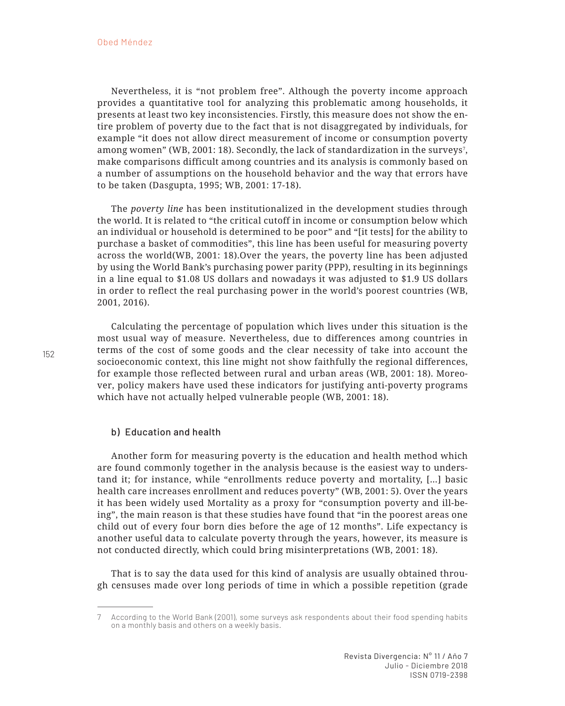Nevertheless, it is "not problem free". Although the poverty income approach provides a quantitative tool for analyzing this problematic among households, it presents at least two key inconsistencies. Firstly, this measure does not show the entire problem of poverty due to the fact that is not disaggregated by individuals, for example "it does not allow direct measurement of income or consumption poverty among women" (WB, 2001: 18). Secondly, the lack of standardization in the surveys<sup>7</sup>, make comparisons difficult among countries and its analysis is commonly based on a number of assumptions on the household behavior and the way that errors have to be taken (Dasgupta, 1995; WB, 2001: 17-18).

The *poverty line* has been institutionalized in the development studies through the world. It is related to "the critical cutoff in income or consumption below which an individual or household is determined to be poor" and "[it tests] for the ability to purchase a basket of commodities", this line has been useful for measuring poverty across the world(WB, 2001: 18).Over the years, the poverty line has been adjusted by using the World Bank's purchasing power parity (PPP), resulting in its beginnings in a line equal to \$1.08 US dollars and nowadays it was adjusted to \$1.9 US dollars in order to reflect the real purchasing power in the world's poorest countries (WB, 2001, 2016).

Calculating the percentage of population which lives under this situation is the most usual way of measure. Nevertheless, due to differences among countries in terms of the cost of some goods and the clear necessity of take into account the socioeconomic context, this line might not show faithfully the regional differences, for example those reflected between rural and urban areas (WB, 2001: 18). Moreover, policy makers have used these indicators for justifying anti-poverty programs which have not actually helped vulnerable people (WB, 2001: 18).

### b) Education and health

Another form for measuring poverty is the education and health method which are found commonly together in the analysis because is the easiest way to understand it; for instance, while "enrollments reduce poverty and mortality, […] basic health care increases enrollment and reduces poverty" (WB, 2001: 5). Over the years it has been widely used Mortality as a proxy for "consumption poverty and ill-being", the main reason is that these studies have found that "in the poorest areas one child out of every four born dies before the age of 12 months". Life expectancy is another useful data to calculate poverty through the years, however, its measure is not conducted directly, which could bring misinterpretations (WB, 2001: 18).

That is to say the data used for this kind of analysis are usually obtained through censuses made over long periods of time in which a possible repetition (grade

According to the World Bank (2001), some surveys ask respondents about their food spending habits on a monthly basis and others on a weekly basis.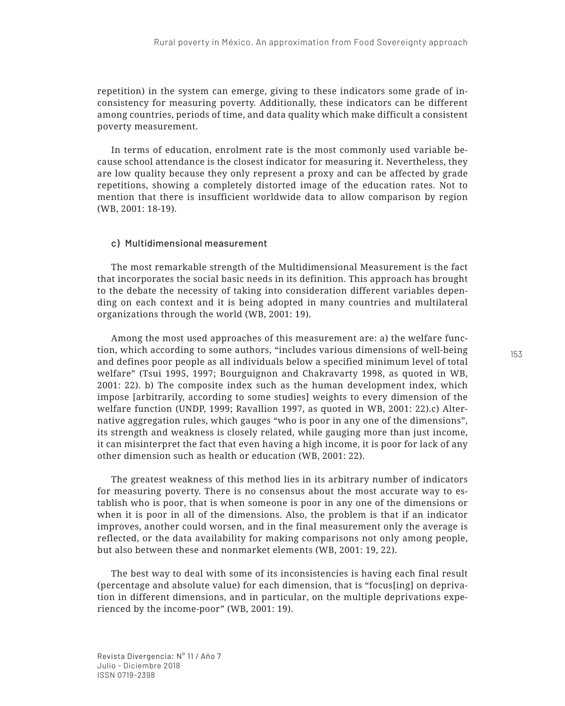repetition) in the system can emerge, giving to these indicators some grade of inconsistency for measuring poverty. Additionally, these indicators can be different among countries, periods of time, and data quality which make difficult a consistent poverty measurement.

In terms of education, enrolment rate is the most commonly used variable because school attendance is the closest indicator for measuring it. Nevertheless, they are low quality because they only represent a proxy and can be affected by grade repetitions, showing a completely distorted image of the education rates. Not to mention that there is insufficient worldwide data to allow comparison by region (WB, 2001: 18-19).

### c) Multidimensional measurement

The most remarkable strength of the Multidimensional Measurement is the fact that incorporates the social basic needs in its definition. This approach has brought to the debate the necessity of taking into consideration different variables depending on each context and it is being adopted in many countries and multilateral organizations through the world (WB, 2001: 19).

Among the most used approaches of this measurement are: a) the welfare function, which according to some authors, "includes various dimensions of well-being and defines poor people as all individuals below a specified minimum level of total welfare" (Tsui 1995, 1997; Bourguignon and Chakravarty 1998, as quoted in WB, 2001: 22). b) The composite index such as the human development index, which impose [arbitrarily, according to some studies] weights to every dimension of the welfare function (UNDP, 1999; Ravallion 1997, as quoted in WB, 2001: 22).c) Alternative aggregation rules, which gauges "who is poor in any one of the dimensions", its strength and weakness is closely related, while gauging more than just income, it can misinterpret the fact that even having a high income, it is poor for lack of any other dimension such as health or education (WB, 2001: 22).

The greatest weakness of this method lies in its arbitrary number of indicators for measuring poverty. There is no consensus about the most accurate way to establish who is poor, that is when someone is poor in any one of the dimensions or when it is poor in all of the dimensions. Also, the problem is that if an indicator improves, another could worsen, and in the final measurement only the average is reflected, or the data availability for making comparisons not only among people, but also between these and nonmarket elements (WB, 2001: 19, 22).

The best way to deal with some of its inconsistencies is having each final result (percentage and absolute value) for each dimension, that is "focus[ing] on deprivation in different dimensions, and in particular, on the multiple deprivations experienced by the income-poor" (WB, 2001: 19).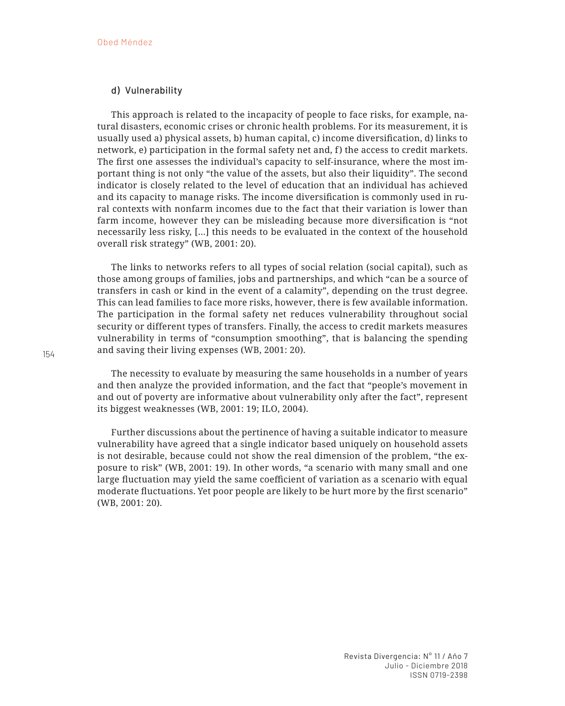## d) Vulnerability

This approach is related to the incapacity of people to face risks, for example, natural disasters, economic crises or chronic health problems. For its measurement, it is usually used a) physical assets, b) human capital, c) income diversification, d) links to network, e) participation in the formal safety net and, f) the access to credit markets. The first one assesses the individual's capacity to self-insurance, where the most important thing is not only "the value of the assets, but also their liquidity". The second indicator is closely related to the level of education that an individual has achieved and its capacity to manage risks. The income diversification is commonly used in rural contexts with nonfarm incomes due to the fact that their variation is lower than farm income, however they can be misleading because more diversification is "not necessarily less risky, […] this needs to be evaluated in the context of the household overall risk strategy" (WB, 2001: 20).

The links to networks refers to all types of social relation (social capital), such as those among groups of families, jobs and partnerships, and which "can be a source of transfers in cash or kind in the event of a calamity", depending on the trust degree. This can lead families to face more risks, however, there is few available information. The participation in the formal safety net reduces vulnerability throughout social security or different types of transfers. Finally, the access to credit markets measures vulnerability in terms of "consumption smoothing", that is balancing the spending and saving their living expenses (WB, 2001: 20).

The necessity to evaluate by measuring the same households in a number of years and then analyze the provided information, and the fact that "people's movement in and out of poverty are informative about vulnerability only after the fact", represent its biggest weaknesses (WB, 2001: 19; ILO, 2004).

Further discussions about the pertinence of having a suitable indicator to measure vulnerability have agreed that a single indicator based uniquely on household assets is not desirable, because could not show the real dimension of the problem, "the exposure to risk" (WB, 2001: 19). In other words, "a scenario with many small and one large fluctuation may yield the same coefficient of variation as a scenario with equal moderate fluctuations. Yet poor people are likely to be hurt more by the first scenario" (WB, 2001: 20).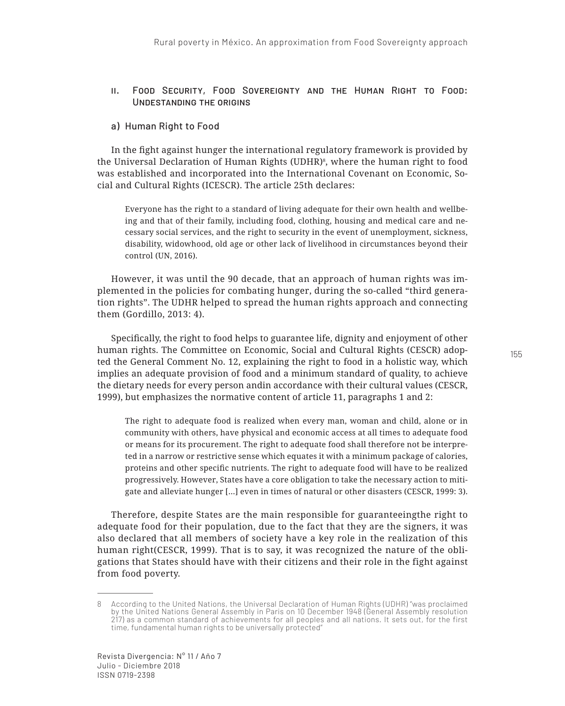### ii. Food Security, Food Sovereignty and the Human Right to Food: Undestanding the origins

### a) Human Right to Food

In the fight against hunger the international regulatory framework is provided by the Universal Declaration of Human Rights (UDHR)8 , where the human right to food was established and incorporated into the International Covenant on Economic, Social and Cultural Rights (ICESCR). The article 25th declares:

Everyone has the right to a standard of living adequate for their own health and wellbeing and that of their family, including food, clothing, housing and medical care and necessary social services, and the right to security in the event of unemployment, sickness, disability, widowhood, old age or other lack of livelihood in circumstances beyond their control (UN, 2016).

However, it was until the 90 decade, that an approach of human rights was implemented in the policies for combating hunger, during the so-called "third generation rights". The UDHR helped to spread the human rights approach and connecting them (Gordillo, 2013: 4).

Specifically, the right to food helps to guarantee life, dignity and enjoyment of other human rights. The Committee on Economic, Social and Cultural Rights (CESCR) adopted the General Comment No. 12, explaining the right to food in a holistic way, which implies an adequate provision of food and a minimum standard of quality, to achieve the dietary needs for every person andin accordance with their cultural values (CESCR, 1999), but emphasizes the normative content of article 11, paragraphs 1 and 2:

The right to adequate food is realized when every man, woman and child, alone or in community with others, have physical and economic access at all times to adequate food or means for its procurement. The right to adequate food shall therefore not be interpreted in a narrow or restrictive sense which equates it with a minimum package of calories, proteins and other specific nutrients. The right to adequate food will have to be realized progressively. However, States have a core obligation to take the necessary action to mitigate and alleviate hunger […] even in times of natural or other disasters (CESCR, 1999: 3).

Therefore, despite States are the main responsible for guaranteeingthe right to adequate food for their population, due to the fact that they are the signers, it was also declared that all members of society have a key role in the realization of this human right(CESCR, 1999). That is to say, it was recognized the nature of the obligations that States should have with their citizens and their role in the fight against from food poverty.

<sup>8</sup> According to the United Nations, the Universal Declaration of Human Rights (UDHR) "was proclaimed by the United Nations General Assembly in Paris on 10 December 1948 (General Assembly resolution 217) as a common standard of achievements for all peoples and all nations. It sets out, for the first time, fundamental human rights to be universally protected"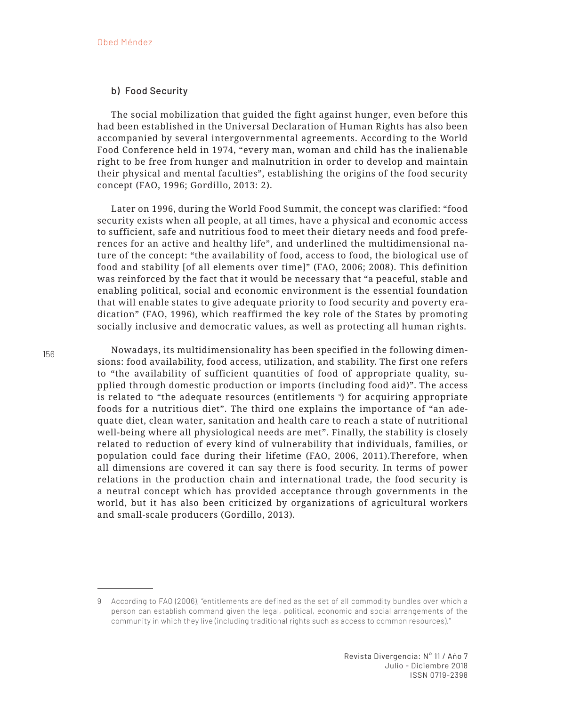### b) Food Security

The social mobilization that guided the fight against hunger, even before this had been established in the Universal Declaration of Human Rights has also been accompanied by several intergovernmental agreements. According to the World Food Conference held in 1974, "every man, woman and child has the inalienable right to be free from hunger and malnutrition in order to develop and maintain their physical and mental faculties", establishing the origins of the food security concept (FAO, 1996; Gordillo, 2013: 2).

Later on 1996, during the World Food Summit, the concept was clarified: "food security exists when all people, at all times, have a physical and economic access to sufficient, safe and nutritious food to meet their dietary needs and food preferences for an active and healthy life", and underlined the multidimensional nature of the concept: "the availability of food, access to food, the biological use of food and stability [of all elements over time]" (FAO, 2006; 2008). This definition was reinforced by the fact that it would be necessary that "a peaceful, stable and enabling political, social and economic environment is the essential foundation that will enable states to give adequate priority to food security and poverty eradication" (FAO, 1996), which reaffirmed the key role of the States by promoting socially inclusive and democratic values, as well as protecting all human rights.

Nowadays, its multidimensionality has been specified in the following dimensions: food availability, food access, utilization, and stability. The first one refers to "the availability of sufficient quantities of food of appropriate quality, supplied through domestic production or imports (including food aid)". The access is related to "the adequate resources (entitlements 9 ) for acquiring appropriate foods for a nutritious diet". The third one explains the importance of "an adequate diet, clean water, sanitation and health care to reach a state of nutritional well-being where all physiological needs are met". Finally, the stability is closely related to reduction of every kind of vulnerability that individuals, families, or population could face during their lifetime (FAO, 2006, 2011).Therefore, when all dimensions are covered it can say there is food security. In terms of power relations in the production chain and international trade, the food security is a neutral concept which has provided acceptance through governments in the world, but it has also been criticized by organizations of agricultural workers and small-scale producers (Gordillo, 2013).

<sup>9</sup> According to FAO (2006), "entitlements are defined as the set of all commodity bundles over which a person can establish command given the legal, political, economic and social arrangements of the community in which they live (including traditional rights such as access to common resources)."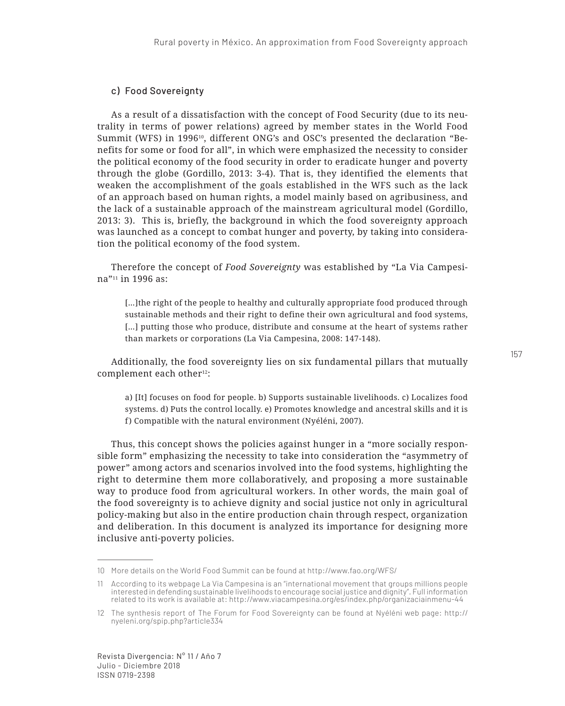# c) Food Sovereignty

As a result of a dissatisfaction with the concept of Food Security (due to its neutrality in terms of power relations) agreed by member states in the World Food Summit (WFS) in 1996<sup>10</sup>, different ONG's and OSC's presented the declaration "Benefits for some or food for all", in which were emphasized the necessity to consider the political economy of the food security in order to eradicate hunger and poverty through the globe (Gordillo, 2013: 3-4). That is, they identified the elements that weaken the accomplishment of the goals established in the WFS such as the lack of an approach based on human rights, a model mainly based on agribusiness, and the lack of a sustainable approach of the mainstream agricultural model (Gordillo, 2013: 3). This is, briefly, the background in which the food sovereignty approach was launched as a concept to combat hunger and poverty, by taking into consideration the political economy of the food system.

Therefore the concept of *Food Sovereignty* was established by "La Via Campesina"<sup>11</sup> in 1996 as:

[…]the right of the people to healthy and culturally appropriate food produced through sustainable methods and their right to define their own agricultural and food systems, [...] putting those who produce, distribute and consume at the heart of systems rather than markets or corporations (La Via Campesina, 2008: 147-148).

Additionally, the food sovereignty lies on six fundamental pillars that mutually complement each other<sup>12</sup>:

a) [It] focuses on food for people. b) Supports sustainable livelihoods. c) Localizes food systems. d) Puts the control locally. e) Promotes knowledge and ancestral skills and it is f) Compatible with the natural environment (Nyéléni, 2007).

Thus, this concept shows the policies against hunger in a "more socially responsible form" emphasizing the necessity to take into consideration the "asymmetry of power" among actors and scenarios involved into the food systems, highlighting the right to determine them more collaboratively, and proposing a more sustainable way to produce food from agricultural workers. In other words, the main goal of the food sovereignty is to achieve dignity and social justice not only in agricultural policy-making but also in the entire production chain through respect, organization and deliberation. In this document is analyzed its importance for designing more inclusive anti-poverty policies.

<sup>10</sup> More details on the World Food Summit can be found at http://www.fao.org/WFS/

<sup>11</sup> According to its webpage La Via Campesina is an "international movement that groups millions people interested in defending sustainable livelihoods to encourage social justice and dignity". Full information related to its work is available at: http://www.viacampesina.org/es/index.php/organizaciainmenu-44

<sup>12</sup> The synthesis report of The Forum for Food Sovereignty can be found at Nyéléni web page: http:// nyeleni.org/spip.php?article334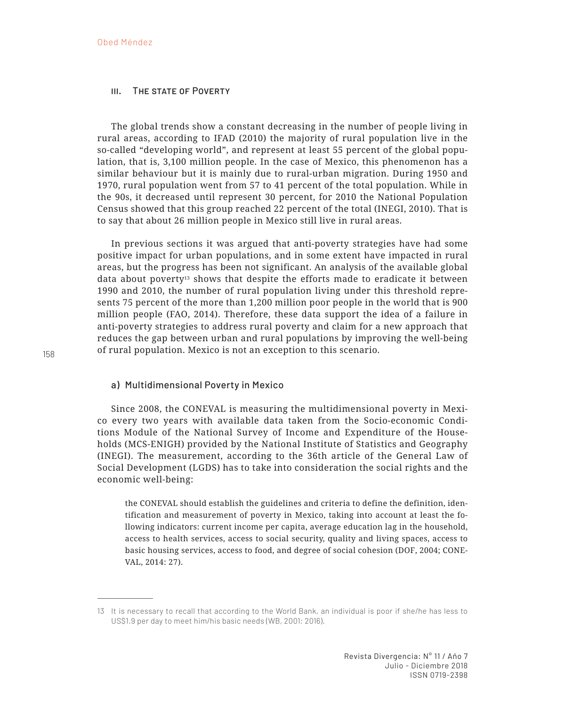### III. THE STATE OF POVERTY

The global trends show a constant decreasing in the number of people living in rural areas, according to IFAD (2010) the majority of rural population live in the so-called "developing world", and represent at least 55 percent of the global population, that is, 3,100 million people. In the case of Mexico, this phenomenon has a similar behaviour but it is mainly due to rural-urban migration. During 1950 and 1970, rural population went from 57 to 41 percent of the total population. While in the 90s, it decreased until represent 30 percent, for 2010 the National Population Census showed that this group reached 22 percent of the total (INEGI, 2010). That is to say that about 26 million people in Mexico still live in rural areas.

In previous sections it was argued that anti-poverty strategies have had some positive impact for urban populations, and in some extent have impacted in rural areas, but the progress has been not significant. An analysis of the available global data about poverty<sup>13</sup> shows that despite the efforts made to eradicate it between 1990 and 2010, the number of rural population living under this threshold represents 75 percent of the more than 1,200 million poor people in the world that is 900 million people (FAO, 2014). Therefore, these data support the idea of a failure in anti-poverty strategies to address rural poverty and claim for a new approach that reduces the gap between urban and rural populations by improving the well-being of rural population. Mexico is not an exception to this scenario.

### a) Multidimensional Poverty in Mexico

Since 2008, the CONEVAL is measuring the multidimensional poverty in Mexico every two years with available data taken from the Socio-economic Conditions Module of the National Survey of Income and Expenditure of the Households (MCS-ENIGH) provided by the National Institute of Statistics and Geography (INEGI). The measurement, according to the 36th article of the General Law of Social Development (LGDS) has to take into consideration the social rights and the economic well-being:

the CONEVAL should establish the guidelines and criteria to define the definition, identification and measurement of poverty in Mexico, taking into account at least the following indicators: current income per capita, average education lag in the household, access to health services, access to social security, quality and living spaces, access to basic housing services, access to food, and degree of social cohesion (DOF, 2004; CONE-VAL, 2014: 27).

Revista Divergencia: N° 11 / Año 7 Julio - Diciembre 2018 ISSN 0719-2398

<sup>13</sup> It is necessary to recall that according to the World Bank, an individual is poor if she/he has less to US\$1.9 per day to meet him/his basic needs (WB, 2001; 2016).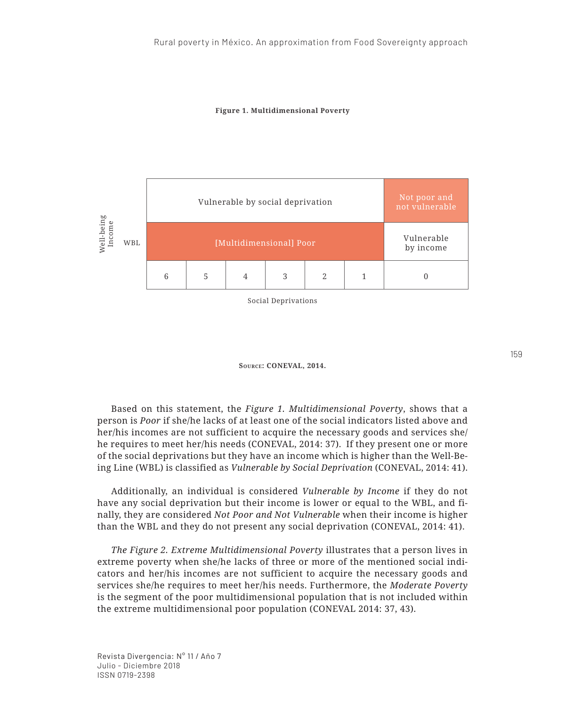



Social Deprivations

#### **Source: CONEVAL, 2014.**

Based on this statement, the *Figure 1. Multidimensional Poverty*, shows that a person is *Poor* if she/he lacks of at least one of the social indicators listed above and her/his incomes are not sufficient to acquire the necessary goods and services she/ he requires to meet her/his needs (CONEVAL, 2014: 37). If they present one or more of the social deprivations but they have an income which is higher than the Well-Being Line (WBL) is classified as *Vulnerable by Social Deprivation* (CONEVAL, 2014: 41).

Additionally, an individual is considered *Vulnerable by Income* if they do not have any social deprivation but their income is lower or equal to the WBL, and finally, they are considered *Not Poor and Not Vulnerable* when their income is higher than the WBL and they do not present any social deprivation (CONEVAL, 2014: 41).

*The Figure 2. Extreme Multidimensional Poverty* illustrates that a person lives in extreme poverty when she/he lacks of three or more of the mentioned social indicators and her/his incomes are not sufficient to acquire the necessary goods and services she/he requires to meet her/his needs. Furthermore, the *Moderate Poverty* is the segment of the poor multidimensional population that is not included within the extreme multidimensional poor population (CONEVAL 2014: 37, 43).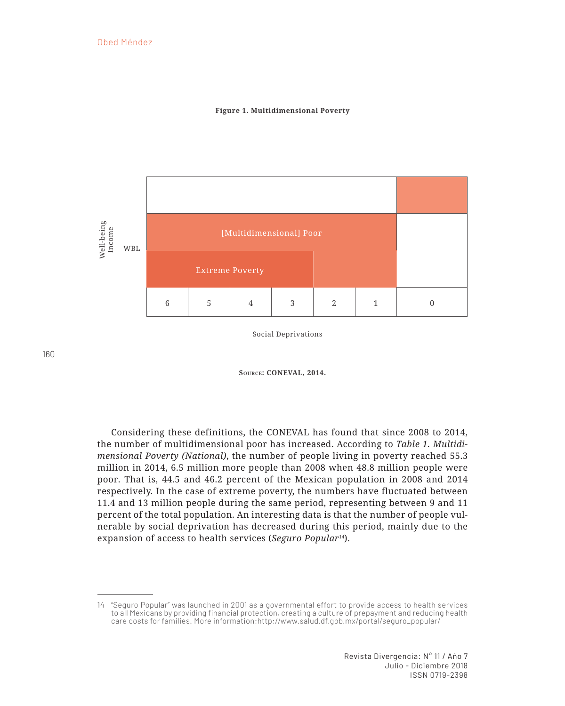## Obed Méndez

#### **Figure 1. Multidimensional Poverty**



Social Deprivations

**Source: CONEVAL, 2014.**

Considering these definitions, the CONEVAL has found that since 2008 to 2014, the number of multidimensional poor has increased. According to *Table 1. Multidimensional Poverty (National)*, the number of people living in poverty reached 55.3 million in 2014, 6.5 million more people than 2008 when 48.8 million people were poor. That is, 44.5 and 46.2 percent of the Mexican population in 2008 and 2014 respectively. In the case of extreme poverty, the numbers have fluctuated between 11.4 and 13 million people during the same period, representing between 9 and 11 percent of the total population. An interesting data is that the number of people vulnerable by social deprivation has decreased during this period, mainly due to the expansion of access to health services (*Seguro Popular*14).

<sup>14</sup> "Seguro Popular" was launched in 2001 as a governmental effort to provide access to health services to all Mexicans by providing financial protection, creating a culture of prepayment and reducing health care costs for families. More information:http://www.salud.df.gob.mx/portal/seguro\_popular/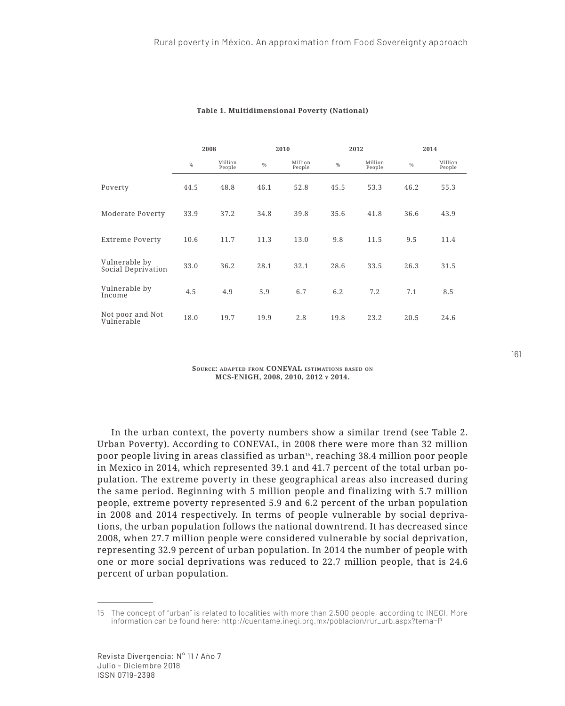|                                     | 2008          |                   | 2010          |                   | 2012          |                   | 2014          |                   |
|-------------------------------------|---------------|-------------------|---------------|-------------------|---------------|-------------------|---------------|-------------------|
|                                     | $\frac{0}{0}$ | Million<br>People | $\frac{0}{0}$ | Million<br>People | $\frac{0}{0}$ | Million<br>People | $\frac{0}{0}$ | Million<br>People |
| Poverty                             | 44.5          | 48.8              | 46.1          | 52.8              | 45.5          | 53.3              | 46.2          | 55.3              |
| Moderate Poverty                    | 33.9          | 37.2              | 34.8          | 39.8              | 35.6          | 41.8              | 36.6          | 43.9              |
| Extreme Poverty                     | 10.6          | 11.7              | 11.3          | 13.0              | 9.8           | 11.5              | 9.5           | 11.4              |
| Vulnerable by<br>Social Deprivation | 33.0          | 36.2              | 28.1          | 32.1              | 28.6          | 33.5              | 26.3          | 31.5              |
| Vulnerable by<br>Income             | 4.5           | 4.9               | 5.9           | 6.7               | 6.2           | 7.2               | 7.1           | 8.5               |
| Not poor and Not<br>Vulnerable      | 18.0          | 19.7              | 19.9          | 2.8               | 19.8          | 23.2              | 20.5          | 24.6              |

#### **Table 1. Multidimensional Poverty (National)**

**Source: adapted from CONEVAL estimations based on MCS-ENIGH, 2008, 2010, 2012 y 2014.**

In the urban context, the poverty numbers show a similar trend (see Table 2. Urban Poverty). According to CONEVAL, in 2008 there were more than 32 million poor people living in areas classified as urban15, reaching 38.4 million poor people in Mexico in 2014, which represented 39.1 and 41.7 percent of the total urban population. The extreme poverty in these geographical areas also increased during the same period. Beginning with 5 million people and finalizing with 5.7 million people, extreme poverty represented 5.9 and 6.2 percent of the urban population in 2008 and 2014 respectively. In terms of people vulnerable by social deprivations, the urban population follows the national downtrend. It has decreased since 2008, when 27.7 million people were considered vulnerable by social deprivation, representing 32.9 percent of urban population. In 2014 the number of people with one or more social deprivations was reduced to 22.7 million people, that is 24.6 percent of urban population.

<sup>15</sup> The concept of "urban" is related to localities with more than 2,500 people, according to INEGI. More information can be found here: http://cuentame.inegi.org.mx/poblacion/rur\_urb.aspx?tema=P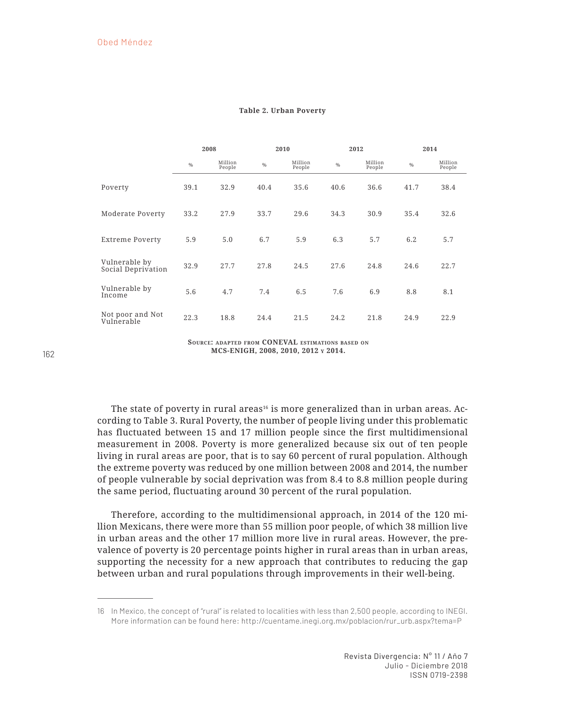|                                     | 2008          |                   | 2010          |                   | 2012          |                   | 2014          |                   |
|-------------------------------------|---------------|-------------------|---------------|-------------------|---------------|-------------------|---------------|-------------------|
|                                     | $\frac{0}{0}$ | Million<br>People | $\frac{0}{0}$ | Million<br>People | $\frac{0}{0}$ | Million<br>People | $\frac{0}{0}$ | Million<br>People |
| Poverty                             | 39.1          | 32.9              | 40.4          | 35.6              | 40.6          | 36.6              | 41.7          | 38.4              |
| Moderate Poverty                    | 33.2          | 27.9              | 33.7          | 29.6              | 34.3          | 30.9              | 35.4          | 32.6              |
| Extreme Poverty                     | 5.9           | 5.0               | 6.7           | 5.9               | 6.3           | 5.7               | 6.2           | 5.7               |
| Vulnerable by<br>Social Deprivation | 32.9          | 27.7              | 27.8          | 24.5              | 27.6          | 24.8              | 24.6          | 22.7              |
| Vulnerable by<br>Income             | 5.6           | 4.7               | 7.4           | 6.5               | 7.6           | 6.9               | 8.8           | 8.1               |
| Not poor and Not<br>Vulnerable      | 22.3          | 18.8              | 24.4          | 21.5              | 24.2          | 21.8              | 24.9          | 22.9              |

#### **Table 2. Urban Poverty**

**Source: adapted from CONEVAL estimations based on MCS-ENIGH, 2008, 2010, 2012 y 2014.**

The state of poverty in rural areas<sup>16</sup> is more generalized than in urban areas. According to Table 3. Rural Poverty, the number of people living under this problematic has fluctuated between 15 and 17 million people since the first multidimensional measurement in 2008. Poverty is more generalized because six out of ten people living in rural areas are poor, that is to say 60 percent of rural population. Although the extreme poverty was reduced by one million between 2008 and 2014, the number of people vulnerable by social deprivation was from 8.4 to 8.8 million people during the same period, fluctuating around 30 percent of the rural population.

Therefore, according to the multidimensional approach, in 2014 of the 120 million Mexicans, there were more than 55 million poor people, of which 38 million live in urban areas and the other 17 million more live in rural areas. However, the prevalence of poverty is 20 percentage points higher in rural areas than in urban areas, supporting the necessity for a new approach that contributes to reducing the gap between urban and rural populations through improvements in their well-being.

<sup>16</sup> In Mexico, the concept of "rural" is related to localities with less than 2,500 people, according to INEGI. More information can be found here: http://cuentame.inegi.org.mx/poblacion/rur\_urb.aspx?tema=P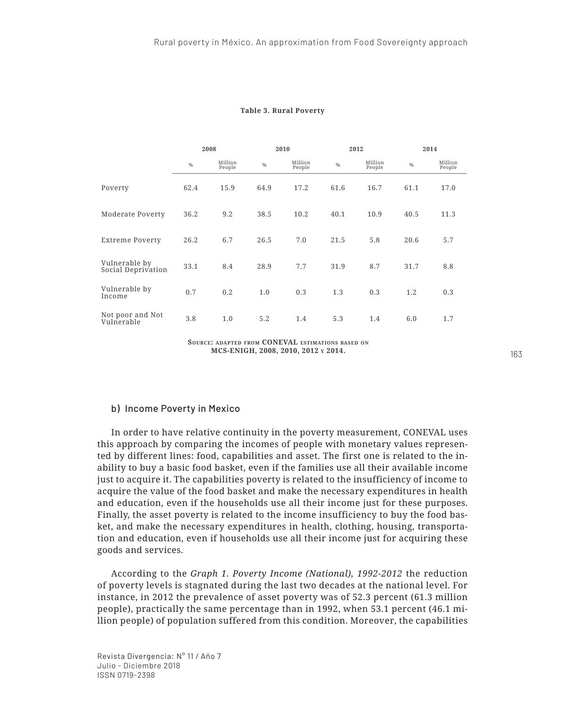|                                     | 2008 |                   | 2010          |                   | 2012          |                   | 2014          |                   |
|-------------------------------------|------|-------------------|---------------|-------------------|---------------|-------------------|---------------|-------------------|
|                                     | $\%$ | Million<br>People | $\frac{0}{0}$ | Million<br>People | $\frac{0}{0}$ | Million<br>People | $\frac{0}{0}$ | Million<br>People |
| Poverty                             | 62.4 | 15.9              | 64.9          | 17.2              | 61.6          | 16.7              | 61.1          | 17.0              |
| Moderate Poverty                    | 36.2 | 9.2               | 38.5          | 10.2              | 40.1          | 10.9              | 40.5          | 11.3              |
| Extreme Poverty                     | 26.2 | 6.7               | 26.5          | 7.0               | 21.5          | 5.8               | 20.6          | 5.7               |
| Vulnerable by<br>Social Deprivation | 33.1 | 8.4               | 28.9          | 7.7               | 31.9          | 8.7               | 31.7          | 8.8               |
| Vulnerable by<br>Income             | 0.7  | 0.2               | 1.0           | 0.3               | 1.3           | 0.3               | 1.2           | 0.3               |
| Not poor and Not<br>Vulnerable      | 3.8  | 1.0               | 5.2           | 1.4               | 5.3           | 1.4               | 6.0           | 1.7               |

#### **Table 3. Rural Poverty**

**Source: adapted from CONEVAL estimations based on MCS-ENIGH, 2008, 2010, 2012 y 2014.**

## b) Income Poverty in Mexico

In order to have relative continuity in the poverty measurement, CONEVAL uses this approach by comparing the incomes of people with monetary values represented by different lines: food, capabilities and asset. The first one is related to the inability to buy a basic food basket, even if the families use all their available income just to acquire it. The capabilities poverty is related to the insufficiency of income to acquire the value of the food basket and make the necessary expenditures in health and education, even if the households use all their income just for these purposes. Finally, the asset poverty is related to the income insufficiency to buy the food basket, and make the necessary expenditures in health, clothing, housing, transportation and education, even if households use all their income just for acquiring these goods and services.

According to the *Graph 1. Poverty Income (National), 1992-2012* the reduction of poverty levels is stagnated during the last two decades at the national level. For instance, in 2012 the prevalence of asset poverty was of 52.3 percent (61.3 million people), practically the same percentage than in 1992, when 53.1 percent (46.1 million people) of population suffered from this condition. Moreover, the capabilities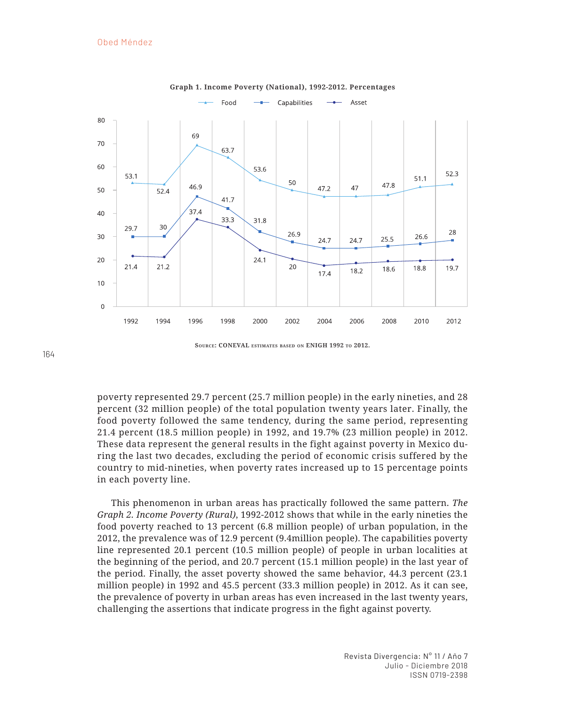

**Graph 1. Income Poverty (National), 1992-2012. Percentages**

**Source: CONEVAL estimates based on ENIGH 1992 to 2012.**

poverty represented 29.7 percent (25.7 million people) in the early nineties, and 28 percent (32 million people) of the total population twenty years later. Finally, the food poverty followed the same tendency, during the same period, representing 21.4 percent (18.5 million people) in 1992, and 19.7% (23 million people) in 2012. These data represent the general results in the fight against poverty in Mexico during the last two decades, excluding the period of economic crisis suffered by the country to mid-nineties, when poverty rates increased up to 15 percentage points in each poverty line.

This phenomenon in urban areas has practically followed the same pattern. *The Graph 2. Income Poverty (Rural)*, 1992-2012 shows that while in the early nineties the food poverty reached to 13 percent (6.8 million people) of urban population, in the 2012, the prevalence was of 12.9 percent (9.4million people). The capabilities poverty line represented 20.1 percent (10.5 million people) of people in urban localities at the beginning of the period, and 20.7 percent (15.1 million people) in the last year of the period. Finally, the asset poverty showed the same behavior, 44.3 percent (23.1 million people) in 1992 and 45.5 percent (33.3 million people) in 2012. As it can see, the prevalence of poverty in urban areas has even increased in the last twenty years, challenging the assertions that indicate progress in the fight against poverty.

164

Revista Divergencia: N° 11 / Año 7 Julio - Diciembre 2018 ISSN 0719-2398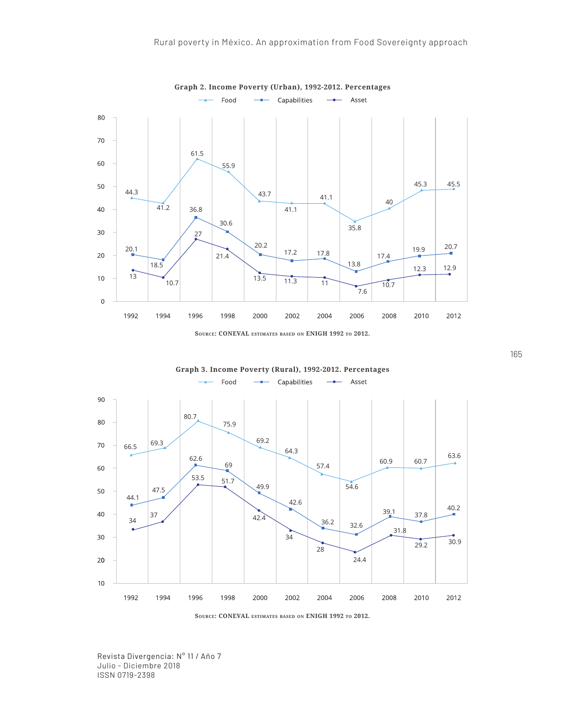

**Source: CONEVAL estimates based on ENIGH 1992 to 2012.**





**Source: CONEVAL estimates based on ENIGH 1992 to 2012.**

Revista Divergencia: N° 11 / Año 7 Julio - Diciembre 2018 ISSN 0719-2398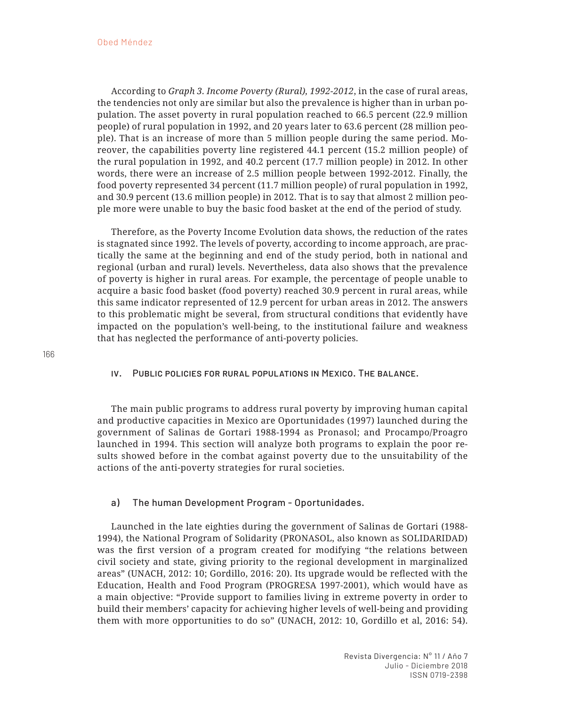According to *Graph 3. Income Poverty (Rural), 1992-2012*, in the case of rural areas, the tendencies not only are similar but also the prevalence is higher than in urban population. The asset poverty in rural population reached to 66.5 percent (22.9 million people) of rural population in 1992, and 20 years later to 63.6 percent (28 million people). That is an increase of more than 5 million people during the same period. Moreover, the capabilities poverty line registered 44.1 percent (15.2 million people) of the rural population in 1992, and 40.2 percent (17.7 million people) in 2012. In other words, there were an increase of 2.5 million people between 1992-2012. Finally, the food poverty represented 34 percent (11.7 million people) of rural population in 1992, and 30.9 percent (13.6 million people) in 2012. That is to say that almost 2 million people more were unable to buy the basic food basket at the end of the period of study.

Therefore, as the Poverty Income Evolution data shows, the reduction of the rates is stagnated since 1992. The levels of poverty, according to income approach, are practically the same at the beginning and end of the study period, both in national and regional (urban and rural) levels. Nevertheless, data also shows that the prevalence of poverty is higher in rural areas. For example, the percentage of people unable to acquire a basic food basket (food poverty) reached 30.9 percent in rural areas, while this same indicator represented of 12.9 percent for urban areas in 2012. The answers to this problematic might be several, from structural conditions that evidently have impacted on the population's well-being, to the institutional failure and weakness that has neglected the performance of anti-poverty policies.

### iv. Public policies for rural populations in Mexico. The balance.

The main public programs to address rural poverty by improving human capital and productive capacities in Mexico are Oportunidades (1997) launched during the government of Salinas de Gortari 1988-1994 as Pronasol; and Procampo/Proagro launched in 1994. This section will analyze both programs to explain the poor results showed before in the combat against poverty due to the unsuitability of the actions of the anti-poverty strategies for rural societies.

## a) The human Development Program - Oportunidades.

Launched in the late eighties during the government of Salinas de Gortari (1988- 1994), the National Program of Solidarity (PRONASOL, also known as SOLIDARIDAD) was the first version of a program created for modifying "the relations between civil society and state, giving priority to the regional development in marginalized areas" (UNACH, 2012: 10; Gordillo, 2016: 20). Its upgrade would be reflected with the Education, Health and Food Program (PROGRESA 1997-2001), which would have as a main objective: "Provide support to families living in extreme poverty in order to build their members' capacity for achieving higher levels of well-being and providing them with more opportunities to do so" (UNACH, 2012: 10, Gordillo et al, 2016: 54).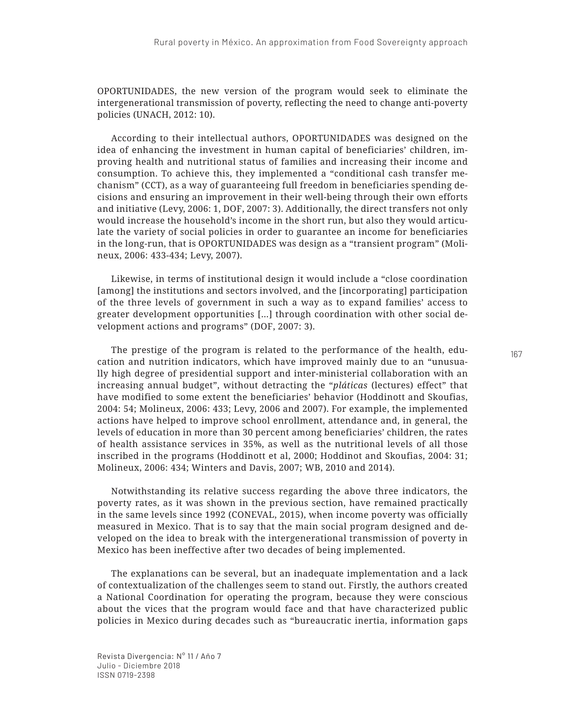OPORTUNIDADES, the new version of the program would seek to eliminate the intergenerational transmission of poverty, reflecting the need to change anti-poverty policies (UNACH, 2012: 10).

According to their intellectual authors, OPORTUNIDADES was designed on the idea of enhancing the investment in human capital of beneficiaries' children, improving health and nutritional status of families and increasing their income and consumption. To achieve this, they implemented a "conditional cash transfer mechanism" (CCT), as a way of guaranteeing full freedom in beneficiaries spending decisions and ensuring an improvement in their well-being through their own efforts and initiative (Levy, 2006: 1, DOF, 2007: 3). Additionally, the direct transfers not only would increase the household's income in the short run, but also they would articulate the variety of social policies in order to guarantee an income for beneficiaries in the long-run, that is OPORTUNIDADES was design as a "transient program" (Molineux, 2006: 433-434; Levy, 2007).

Likewise, in terms of institutional design it would include a "close coordination [among] the institutions and sectors involved, and the [incorporating] participation of the three levels of government in such a way as to expand families' access to greater development opportunities […] through coordination with other social development actions and programs" (DOF, 2007: 3).

The prestige of the program is related to the performance of the health, education and nutrition indicators, which have improved mainly due to an "unusually high degree of presidential support and inter-ministerial collaboration with an increasing annual budget", without detracting the "*pláticas* (lectures) effect" that have modified to some extent the beneficiaries' behavior (Hoddinott and Skoufias, 2004: 54; Molineux, 2006: 433; Levy, 2006 and 2007). For example, the implemented actions have helped to improve school enrollment, attendance and, in general, the levels of education in more than 30 percent among beneficiaries' children, the rates of health assistance services in 35%, as well as the nutritional levels of all those inscribed in the programs (Hoddinott et al, 2000; Hoddinot and Skoufias, 2004: 31; Molineux, 2006: 434; Winters and Davis, 2007; WB, 2010 and 2014).

Notwithstanding its relative success regarding the above three indicators, the poverty rates, as it was shown in the previous section, have remained practically in the same levels since 1992 (CONEVAL, 2015), when income poverty was officially measured in Mexico. That is to say that the main social program designed and developed on the idea to break with the intergenerational transmission of poverty in Mexico has been ineffective after two decades of being implemented.

The explanations can be several, but an inadequate implementation and a lack of contextualization of the challenges seem to stand out. Firstly, the authors created a National Coordination for operating the program, because they were conscious about the vices that the program would face and that have characterized public policies in Mexico during decades such as "bureaucratic inertia, information gaps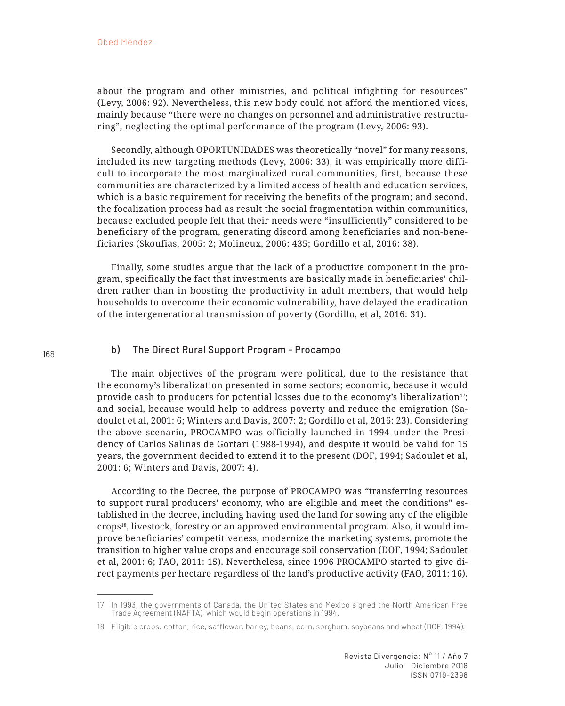about the program and other ministries, and political infighting for resources" (Levy, 2006: 92). Nevertheless, this new body could not afford the mentioned vices, mainly because "there were no changes on personnel and administrative restructuring", neglecting the optimal performance of the program (Levy, 2006: 93).

Secondly, although OPORTUNIDADES was theoretically "novel" for many reasons, included its new targeting methods (Levy, 2006: 33), it was empirically more difficult to incorporate the most marginalized rural communities, first, because these communities are characterized by a limited access of health and education services, which is a basic requirement for receiving the benefits of the program; and second, the focalization process had as result the social fragmentation within communities, because excluded people felt that their needs were "insufficiently" considered to be beneficiary of the program, generating discord among beneficiaries and non-beneficiaries (Skoufias, 2005: 2; Molineux, 2006: 435; Gordillo et al, 2016: 38).

Finally, some studies argue that the lack of a productive component in the program, specifically the fact that investments are basically made in beneficiaries' children rather than in boosting the productivity in adult members, that would help households to overcome their economic vulnerability, have delayed the eradication of the intergenerational transmission of poverty (Gordillo, et al, 2016: 31).

## b) The Direct Rural Support Program - Procampo

The main objectives of the program were political, due to the resistance that the economy's liberalization presented in some sectors; economic, because it would provide cash to producers for potential losses due to the economy's liberalization<sup>17</sup>; and social, because would help to address poverty and reduce the emigration (Sadoulet et al, 2001: 6; Winters and Davis, 2007: 2; Gordillo et al, 2016: 23). Considering the above scenario, PROCAMPO was officially launched in 1994 under the Presidency of Carlos Salinas de Gortari (1988-1994), and despite it would be valid for 15 years, the government decided to extend it to the present (DOF, 1994; Sadoulet et al, 2001: 6; Winters and Davis, 2007: 4).

According to the Decree, the purpose of PROCAMPO was "transferring resources to support rural producers' economy, who are eligible and meet the conditions" established in the decree, including having used the land for sowing any of the eligible crops18, livestock, forestry or an approved environmental program. Also, it would improve beneficiaries' competitiveness, modernize the marketing systems, promote the transition to higher value crops and encourage soil conservation (DOF, 1994; Sadoulet et al, 2001: 6; FAO, 2011: 15). Nevertheless, since 1996 PROCAMPO started to give direct payments per hectare regardless of the land's productive activity (FAO, 2011: 16).

<sup>17</sup> In 1993, the governments of Canada, the United States and Mexico signed the North American Free Trade Agreement (NAFTA), which would begin operations in 1994.

<sup>18</sup> Eligible crops: cotton, rice, safflower, barley, beans, corn, sorghum, soybeans and wheat (DOF, 1994).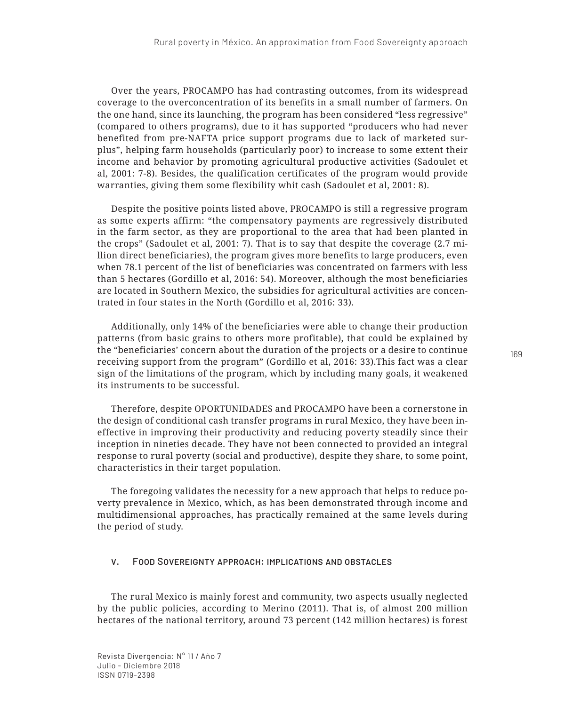Over the years, PROCAMPO has had contrasting outcomes, from its widespread coverage to the overconcentration of its benefits in a small number of farmers. On the one hand, since its launching, the program has been considered "less regressive" (compared to others programs), due to it has supported "producers who had never benefited from pre-NAFTA price support programs due to lack of marketed surplus", helping farm households (particularly poor) to increase to some extent their income and behavior by promoting agricultural productive activities (Sadoulet et al, 2001: 7-8). Besides, the qualification certificates of the program would provide warranties, giving them some flexibility whit cash (Sadoulet et al, 2001: 8).

Despite the positive points listed above, PROCAMPO is still a regressive program as some experts affirm: "the compensatory payments are regressively distributed in the farm sector, as they are proportional to the area that had been planted in the crops" (Sadoulet et al, 2001: 7). That is to say that despite the coverage (2.7 million direct beneficiaries), the program gives more benefits to large producers, even when 78.1 percent of the list of beneficiaries was concentrated on farmers with less than 5 hectares (Gordillo et al, 2016: 54). Moreover, although the most beneficiaries are located in Southern Mexico, the subsidies for agricultural activities are concentrated in four states in the North (Gordillo et al, 2016: 33).

Additionally, only 14% of the beneficiaries were able to change their production patterns (from basic grains to others more profitable), that could be explained by the "beneficiaries' concern about the duration of the projects or a desire to continue receiving support from the program" (Gordillo et al, 2016: 33).This fact was a clear sign of the limitations of the program, which by including many goals, it weakened its instruments to be successful.

Therefore, despite OPORTUNIDADES and PROCAMPO have been a cornerstone in the design of conditional cash transfer programs in rural Mexico, they have been ineffective in improving their productivity and reducing poverty steadily since their inception in nineties decade. They have not been connected to provided an integral response to rural poverty (social and productive), despite they share, to some point, characteristics in their target population.

The foregoing validates the necessity for a new approach that helps to reduce poverty prevalence in Mexico, which, as has been demonstrated through income and multidimensional approaches, has practically remained at the same levels during the period of study.

## v. Food Sovereignty approach: implications and obstacles

The rural Mexico is mainly forest and community, two aspects usually neglected by the public policies, according to Merino (2011). That is, of almost 200 million hectares of the national territory, around 73 percent (142 million hectares) is forest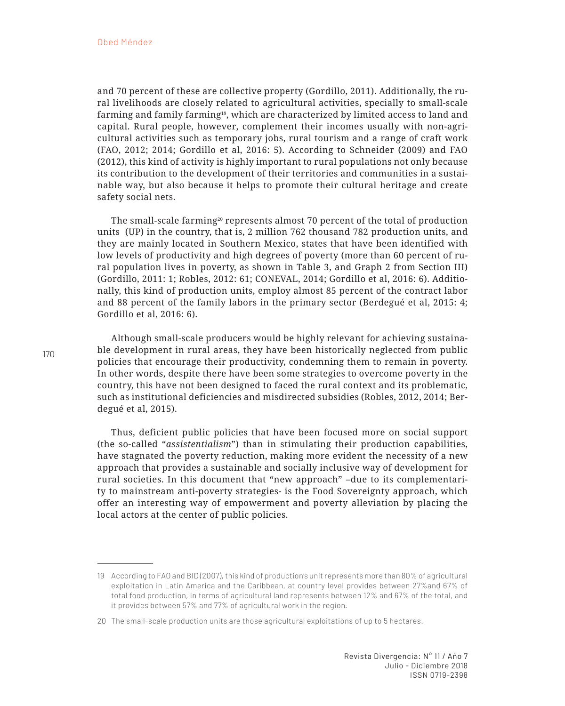and 70 percent of these are collective property (Gordillo, 2011). Additionally, the rural livelihoods are closely related to agricultural activities, specially to small-scale farming and family farming19, which are characterized by limited access to land and capital. Rural people, however, complement their incomes usually with non-agricultural activities such as temporary jobs, rural tourism and a range of craft work (FAO, 2012; 2014; Gordillo et al, 2016: 5). According to Schneider (2009) and FAO (2012), this kind of activity is highly important to rural populations not only because its contribution to the development of their territories and communities in a sustainable way, but also because it helps to promote their cultural heritage and create safety social nets.

The small-scale farming<sup>20</sup> represents almost 70 percent of the total of production units (UP) in the country, that is, 2 million 762 thousand 782 production units, and they are mainly located in Southern Mexico, states that have been identified with low levels of productivity and high degrees of poverty (more than 60 percent of rural population lives in poverty, as shown in Table 3, and Graph 2 from Section III) (Gordillo, 2011: 1; Robles, 2012: 61; CONEVAL, 2014; Gordillo et al, 2016: 6). Additionally, this kind of production units, employ almost 85 percent of the contract labor and 88 percent of the family labors in the primary sector (Berdegué et al, 2015: 4; Gordillo et al, 2016: 6).

Although small-scale producers would be highly relevant for achieving sustainable development in rural areas, they have been historically neglected from public policies that encourage their productivity, condemning them to remain in poverty. In other words, despite there have been some strategies to overcome poverty in the country, this have not been designed to faced the rural context and its problematic, such as institutional deficiencies and misdirected subsidies (Robles, 2012, 2014; Berdegué et al, 2015).

Thus, deficient public policies that have been focused more on social support (the so-called "*assistentialism*") than in stimulating their production capabilities, have stagnated the poverty reduction, making more evident the necessity of a new approach that provides a sustainable and socially inclusive way of development for rural societies. In this document that "new approach" –due to its complementarity to mainstream anti-poverty strategies- is the Food Sovereignty approach, which offer an interesting way of empowerment and poverty alleviation by placing the local actors at the center of public policies.

<sup>19</sup> According to FAO and BID (2007), this kind of production's unit represents more than 80% of agricultural exploitation in Latin America and the Caribbean, at country level provides between 27%and 67% of total food production, in terms of agricultural land represents between 12% and 67% of the total, and it provides between 57% and 77% of agricultural work in the region.

<sup>20</sup> The small-scale production units are those agricultural exploitations of up to 5 hectares.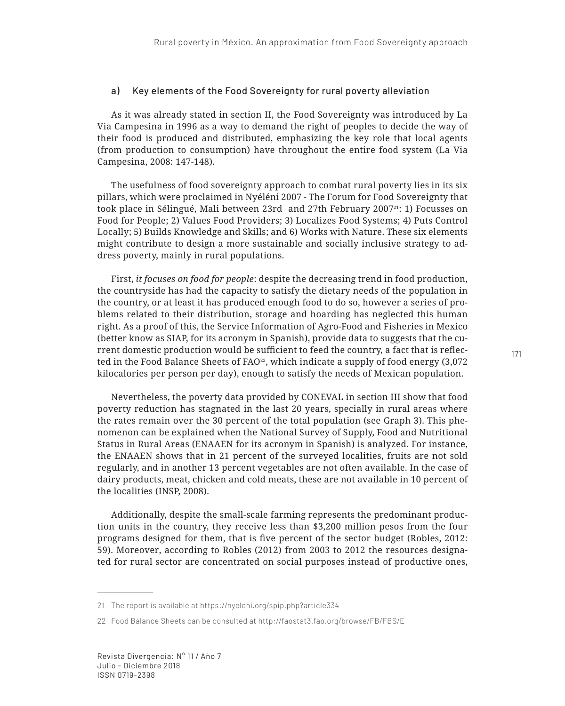### a) Key elements of the Food Sovereignty for rural poverty alleviation

As it was already stated in section II, the Food Sovereignty was introduced by La Via Campesina in 1996 as a way to demand the right of peoples to decide the way of their food is produced and distributed, emphasizing the key role that local agents (from production to consumption) have throughout the entire food system (La Via Campesina, 2008: 147-148).

The usefulness of food sovereignty approach to combat rural poverty lies in its six pillars, which were proclaimed in Nyéléni 2007 - The Forum for Food Sovereignty that took place in Sélingué, Mali between 23rd and 27th February 2007<sup>21</sup>: 1) Focusses on Food for People; 2) Values Food Providers; 3) Localizes Food Systems; 4) Puts Control Locally; 5) Builds Knowledge and Skills; and 6) Works with Nature. These six elements might contribute to design a more sustainable and socially inclusive strategy to address poverty, mainly in rural populations.

First, *it focuses on food for people*: despite the decreasing trend in food production, the countryside has had the capacity to satisfy the dietary needs of the population in the country, or at least it has produced enough food to do so, however a series of problems related to their distribution, storage and hoarding has neglected this human right. As a proof of this, the Service Information of Agro-Food and Fisheries in Mexico (better know as SIAP, for its acronym in Spanish), provide data to suggests that the current domestic production would be sufficient to feed the country, a fact that is reflected in the Food Balance Sheets of FAO<sup>22</sup>, which indicate a supply of food energy  $(3,072)$ kilocalories per person per day), enough to satisfy the needs of Mexican population.

Nevertheless, the poverty data provided by CONEVAL in section III show that food poverty reduction has stagnated in the last 20 years, specially in rural areas where the rates remain over the 30 percent of the total population (see Graph 3). This phenomenon can be explained when the National Survey of Supply, Food and Nutritional Status in Rural Areas (ENAAEN for its acronym in Spanish) is analyzed. For instance, the ENAAEN shows that in 21 percent of the surveyed localities, fruits are not sold regularly, and in another 13 percent vegetables are not often available. In the case of dairy products, meat, chicken and cold meats, these are not available in 10 percent of the localities (INSP, 2008).

Additionally, despite the small-scale farming represents the predominant production units in the country, they receive less than \$3,200 million pesos from the four programs designed for them, that is five percent of the sector budget (Robles, 2012: 59). Moreover, according to Robles (2012) from 2003 to 2012 the resources designated for rural sector are concentrated on social purposes instead of productive ones,

<sup>21</sup> The report is available at https://nyeleni.org/spip.php?article334

<sup>22</sup> Food Balance Sheets can be consulted at http://faostat3.fao.org/browse/FB/FBS/E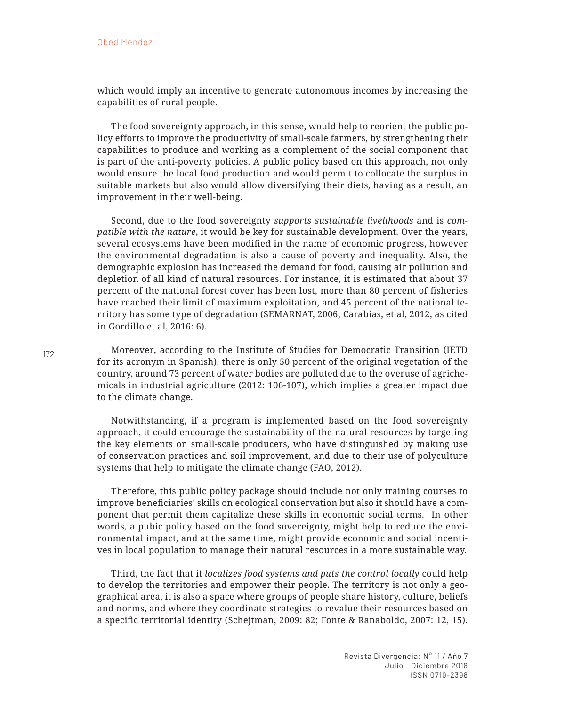which would imply an incentive to generate autonomous incomes by increasing the capabilities of rural people.

The food sovereignty approach, in this sense, would help to reorient the public policy efforts to improve the productivity of small-scale farmers, by strengthening their capabilities to produce and working as a complement of the social component that is part of the anti-poverty policies. A public policy based on this approach, not only would ensure the local food production and would permit to collocate the surplus in suitable markets but also would allow diversifying their diets, having as a result, an improvement in their well-being.

Second, due to the food sovereignty *supports sustainable livelihoods* and is *compatible with the nature*, it would be key for sustainable development. Over the years, several ecosystems have been modified in the name of economic progress, however the environmental degradation is also a cause of poverty and inequality. Also, the demographic explosion has increased the demand for food, causing air pollution and depletion of all kind of natural resources. For instance, it is estimated that about 37 percent of the national forest cover has been lost, more than 80 percent of fisheries have reached their limit of maximum exploitation, and 45 percent of the national territory has some type of degradation (SEMARNAT, 2006; Carabias, et al, 2012, as cited in Gordillo et al, 2016: 6).

Moreover, according to the Institute of Studies for Democratic Transition (IETD for its acronym in Spanish), there is only 50 percent of the original vegetation of the country, around 73 percent of water bodies are polluted due to the overuse of agrichemicals in industrial agriculture (2012: 106-107), which implies a greater impact due to the climate change.

Notwithstanding, if a program is implemented based on the food sovereignty approach, it could encourage the sustainability of the natural resources by targeting the key elements on small-scale producers, who have distinguished by making use of conservation practices and soil improvement, and due to their use of polyculture systems that help to mitigate the climate change (FAO, 2012).

Therefore, this public policy package should include not only training courses to improve beneficiaries' skills on ecological conservation but also it should have a component that permit them capitalize these skills in economic social terms. In other words, a pubic policy based on the food sovereignty, might help to reduce the environmental impact, and at the same time, might provide economic and social incentives in local population to manage their natural resources in a more sustainable way.

Third, the fact that it *localizes food systems and puts the control locally* could help to develop the territories and empower their people. The territory is not only a geographical area, it is also a space where groups of people share history, culture, beliefs and norms, and where they coordinate strategies to revalue their resources based on a specific territorial identity (Schejtman, 2009: 82; Fonte & Ranaboldo, 2007: 12, 15).

Revista Divergencia: N° 11 / Año 7 Julio - Diciembre 2018 ISSN 0719-2398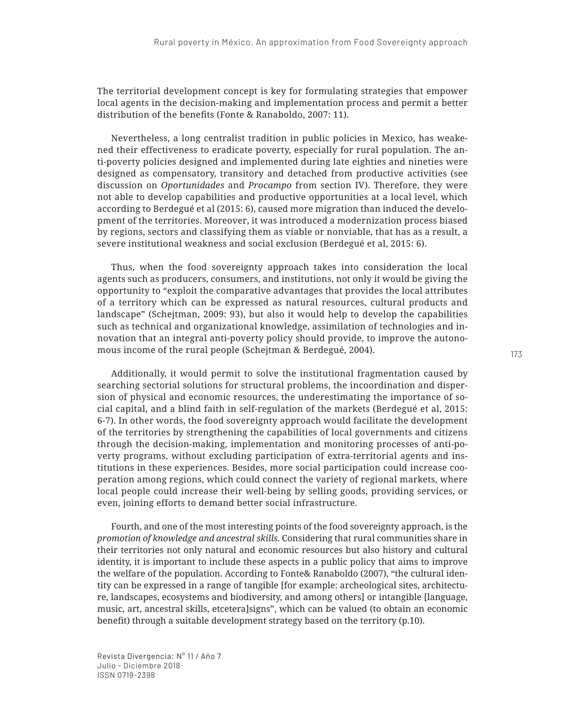The territorial development concept is key for formulating strategies that empower local agents in the decision-making and implementation process and permit a better distribution of the benefits (Fonte & Ranaboldo, 2007: 11).

Nevertheless, a long centralist tradition in public policies in Mexico, has weakened their effectiveness to eradicate poverty, especially for rural population. The anti-poverty policies designed and implemented during late eighties and nineties were designed as compensatory, transitory and detached from productive activities (see discussion on *Oportunidades* and *Procampo* from section IV). Therefore, they were not able to develop capabilities and productive opportunities at a local level, which according to Berdegué et al (2015: 6), caused more migration than induced the development of the territories. Moreover, it was introduced a modernization process biased by regions, sectors and classifying them as viable or nonviable, that has as a result, a severe institutional weakness and social exclusion (Berdegué et al, 2015: 6).

Thus, when the food sovereignty approach takes into consideration the local agents such as producers, consumers, and institutions, not only it would be giving the opportunity to "exploit the comparative advantages that provides the local attributes of a territory which can be expressed as natural resources, cultural products and landscape" (Schejtman, 2009: 93), but also it would help to develop the capabilities such as technical and organizational knowledge, assimilation of technologies and innovation that an integral anti-poverty policy should provide, to improve the autonomous income of the rural people (Schejtman & Berdegué, 2004).

Additionally, it would permit to solve the institutional fragmentation caused by searching sectorial solutions for structural problems, the incoordination and dispersion of physical and economic resources, the underestimating the importance of social capital, and a blind faith in self-regulation of the markets (Berdegué et al, 2015: 6-7). In other words, the food sovereignty approach would facilitate the development of the territories by strengthening the capabilities of local governments and citizens through the decision-making, implementation and monitoring processes of anti-poverty programs, without excluding participation of extra-territorial agents and institutions in these experiences. Besides, more social participation could increase cooperation among regions, which could connect the variety of regional markets, where local people could increase their well-being by selling goods, providing services, or even, joining efforts to demand better social infrastructure.

Fourth, and one of the most interesting points of the food sovereignty approach, is the *promotion of knowledge and ancestral skills*. Considering that rural communities share in their territories not only natural and economic resources but also history and cultural identity, it is important to include these aspects in a public policy that aims to improve the welfare of the population. According to Fonte& Ranaboldo (2007), "the cultural identity can be expressed in a range of tangible [for example: archeological sites, architecture, landscapes, ecosystems and biodiversity, and among others] or intangible [language, music, art, ancestral skills, etcetera]signs", which can be valued (to obtain an economic benefit) through a suitable development strategy based on the territory (p.10).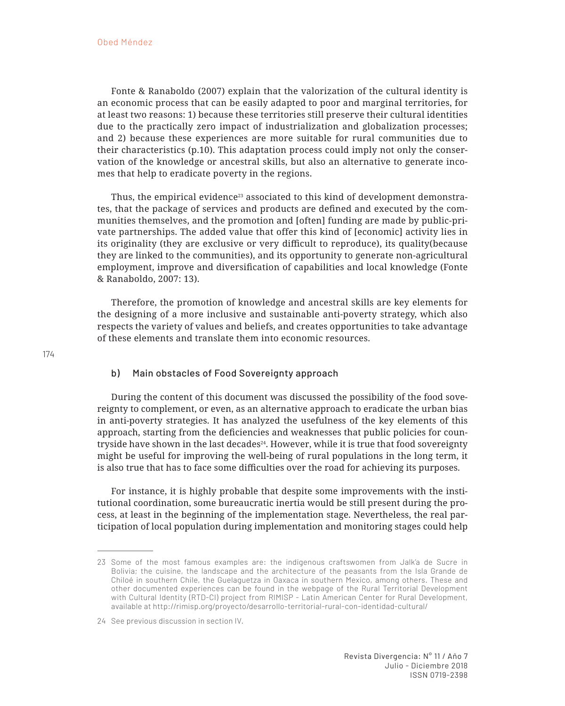Fonte & Ranaboldo (2007) explain that the valorization of the cultural identity is an economic process that can be easily adapted to poor and marginal territories, for at least two reasons: 1) because these territories still preserve their cultural identities due to the practically zero impact of industrialization and globalization processes; and 2) because these experiences are more suitable for rural communities due to their characteristics (p.10). This adaptation process could imply not only the conservation of the knowledge or ancestral skills, but also an alternative to generate incomes that help to eradicate poverty in the regions.

Thus, the empirical evidence<sup>23</sup> associated to this kind of development demonstrates, that the package of services and products are defined and executed by the communities themselves, and the promotion and [often] funding are made by public-private partnerships. The added value that offer this kind of [economic] activity lies in its originality (they are exclusive or very difficult to reproduce), its quality(because they are linked to the communities), and its opportunity to generate non-agricultural employment, improve and diversification of capabilities and local knowledge (Fonte & Ranaboldo, 2007: 13).

Therefore, the promotion of knowledge and ancestral skills are key elements for the designing of a more inclusive and sustainable anti-poverty strategy, which also respects the variety of values and beliefs, and creates opportunities to take advantage of these elements and translate them into economic resources.

## b) Main obstacles of Food Sovereignty approach

During the content of this document was discussed the possibility of the food sovereignty to complement, or even, as an alternative approach to eradicate the urban bias in anti-poverty strategies. It has analyzed the usefulness of the key elements of this approach, starting from the deficiencies and weaknesses that public policies for countryside have shown in the last decades<sup>24</sup>. However, while it is true that food sovereignty might be useful for improving the well-being of rural populations in the long term, it is also true that has to face some difficulties over the road for achieving its purposes.

For instance, it is highly probable that despite some improvements with the institutional coordination, some bureaucratic inertia would be still present during the process, at least in the beginning of the implementation stage. Nevertheless, the real participation of local population during implementation and monitoring stages could help

<sup>23</sup> Some of the most famous examples are: the indigenous craftswomen from Jalk'a de Sucre in Bolivia; the cuisine, the landscape and the architecture of the peasants from the Isla Grande de Chiloé in southern Chile, the Guelaguetza in Oaxaca in southern Mexico, among others. These and other documented experiences can be found in the webpage of the Rural Territorial Development with Cultural Identity (RTD-CI) project from RIMISP - Latin American Center for Rural Development, available at http://rimisp.org/proyecto/desarrollo-territorial-rural-con-identidad-cultural/

<sup>24</sup> See previous discussion in section IV.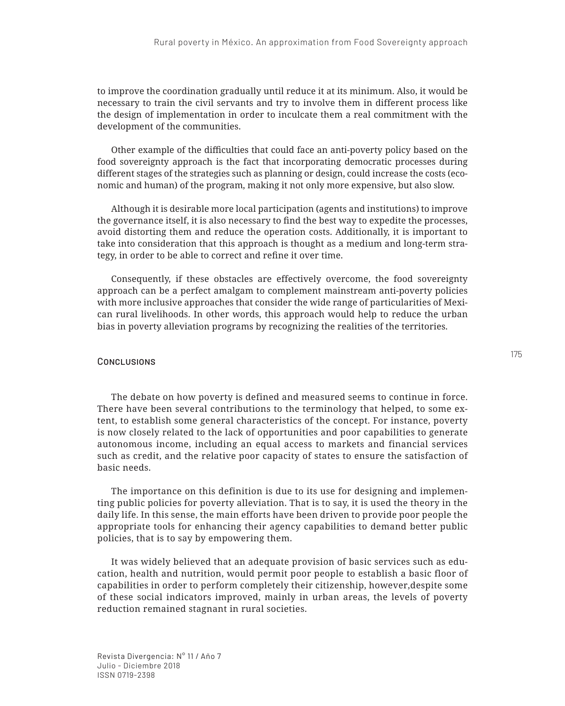to improve the coordination gradually until reduce it at its minimum. Also, it would be necessary to train the civil servants and try to involve them in different process like the design of implementation in order to inculcate them a real commitment with the development of the communities.

Other example of the difficulties that could face an anti-poverty policy based on the food sovereignty approach is the fact that incorporating democratic processes during different stages of the strategies such as planning or design, could increase the costs (economic and human) of the program, making it not only more expensive, but also slow.

Although it is desirable more local participation (agents and institutions) to improve the governance itself, it is also necessary to find the best way to expedite the processes, avoid distorting them and reduce the operation costs. Additionally, it is important to take into consideration that this approach is thought as a medium and long-term strategy, in order to be able to correct and refine it over time.

Consequently, if these obstacles are effectively overcome, the food sovereignty approach can be a perfect amalgam to complement mainstream anti-poverty policies with more inclusive approaches that consider the wide range of particularities of Mexican rural livelihoods. In other words, this approach would help to reduce the urban bias in poverty alleviation programs by recognizing the realities of the territories.

### **CONCLUSIONS**

The debate on how poverty is defined and measured seems to continue in force. There have been several contributions to the terminology that helped, to some extent, to establish some general characteristics of the concept. For instance, poverty is now closely related to the lack of opportunities and poor capabilities to generate autonomous income, including an equal access to markets and financial services such as credit, and the relative poor capacity of states to ensure the satisfaction of basic needs.

The importance on this definition is due to its use for designing and implementing public policies for poverty alleviation. That is to say, it is used the theory in the daily life. In this sense, the main efforts have been driven to provide poor people the appropriate tools for enhancing their agency capabilities to demand better public policies, that is to say by empowering them.

It was widely believed that an adequate provision of basic services such as education, health and nutrition, would permit poor people to establish a basic floor of capabilities in order to perform completely their citizenship, however,despite some of these social indicators improved, mainly in urban areas, the levels of poverty reduction remained stagnant in rural societies.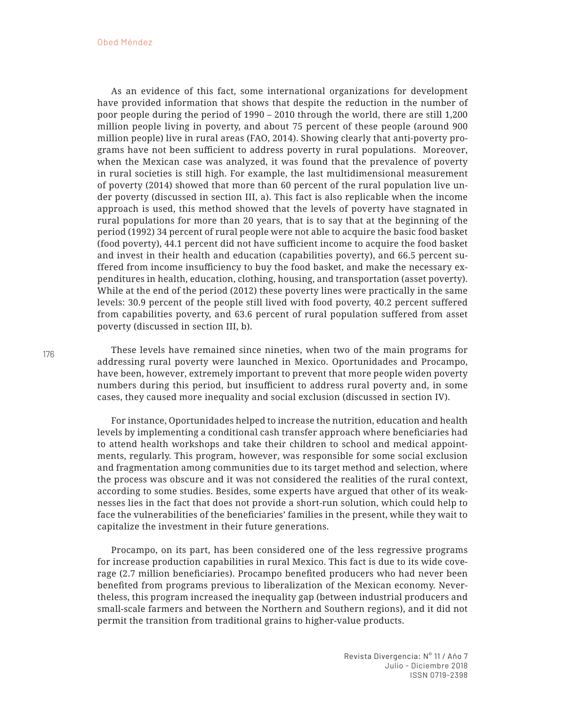As an evidence of this fact, some international organizations for development have provided information that shows that despite the reduction in the number of poor people during the period of 1990 – 2010 through the world, there are still 1,200 million people living in poverty, and about 75 percent of these people (around 900 million people) live in rural areas (FAO, 2014). Showing clearly that anti-poverty programs have not been sufficient to address poverty in rural populations. Moreover, when the Mexican case was analyzed, it was found that the prevalence of poverty in rural societies is still high. For example, the last multidimensional measurement of poverty (2014) showed that more than 60 percent of the rural population live under poverty (discussed in section III, a). This fact is also replicable when the income approach is used, this method showed that the levels of poverty have stagnated in rural populations for more than 20 years, that is to say that at the beginning of the period (1992) 34 percent of rural people were not able to acquire the basic food basket (food poverty), 44.1 percent did not have sufficient income to acquire the food basket and invest in their health and education (capabilities poverty), and 66.5 percent suffered from income insufficiency to buy the food basket, and make the necessary expenditures in health, education, clothing, housing, and transportation (asset poverty). While at the end of the period (2012) these poverty lines were practically in the same levels: 30.9 percent of the people still lived with food poverty, 40.2 percent suffered from capabilities poverty, and 63.6 percent of rural population suffered from asset poverty (discussed in section III, b).

These levels have remained since nineties, when two of the main programs for addressing rural poverty were launched in Mexico. Oportunidades and Procampo, have been, however, extremely important to prevent that more people widen poverty numbers during this period, but insufficient to address rural poverty and, in some cases, they caused more inequality and social exclusion (discussed in section IV).

For instance, Oportunidades helped to increase the nutrition, education and health levels by implementing a conditional cash transfer approach where beneficiaries had to attend health workshops and take their children to school and medical appointments, regularly. This program, however, was responsible for some social exclusion and fragmentation among communities due to its target method and selection, where the process was obscure and it was not considered the realities of the rural context, according to some studies. Besides, some experts have argued that other of its weaknesses lies in the fact that does not provide a short-run solution, which could help to face the vulnerabilities of the beneficiaries' families in the present, while they wait to capitalize the investment in their future generations.

Procampo, on its part, has been considered one of the less regressive programs for increase production capabilities in rural Mexico. This fact is due to its wide coverage (2.7 million beneficiaries). Procampo benefited producers who had never been benefited from programs previous to liberalization of the Mexican economy. Nevertheless, this program increased the inequality gap (between industrial producers and small-scale farmers and between the Northern and Southern regions), and it did not permit the transition from traditional grains to higher-value products.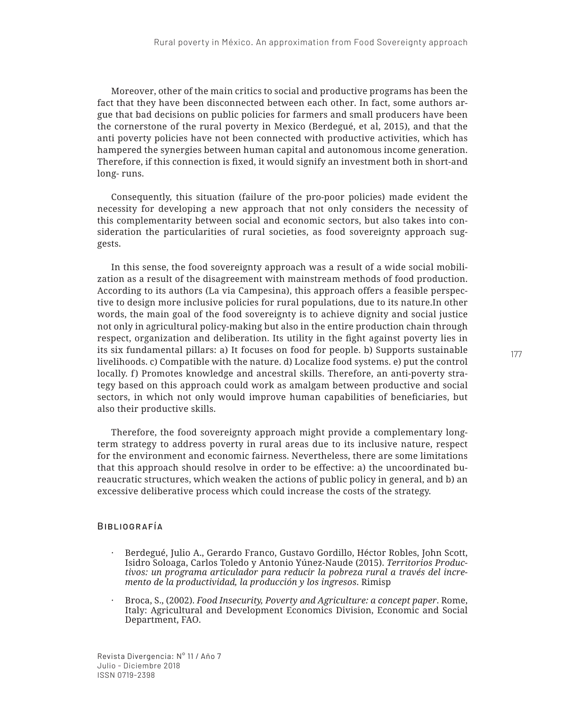Moreover, other of the main critics to social and productive programs has been the fact that they have been disconnected between each other. In fact, some authors argue that bad decisions on public policies for farmers and small producers have been the cornerstone of the rural poverty in Mexico (Berdegué, et al, 2015), and that the anti poverty policies have not been connected with productive activities, which has hampered the synergies between human capital and autonomous income generation. Therefore, if this connection is fixed, it would signify an investment both in short-and long- runs.

Consequently, this situation (failure of the pro-poor policies) made evident the necessity for developing a new approach that not only considers the necessity of this complementarity between social and economic sectors, but also takes into consideration the particularities of rural societies, as food sovereignty approach suggests.

In this sense, the food sovereignty approach was a result of a wide social mobilization as a result of the disagreement with mainstream methods of food production. According to its authors (La via Campesina), this approach offers a feasible perspective to design more inclusive policies for rural populations, due to its nature.In other words, the main goal of the food sovereignty is to achieve dignity and social justice not only in agricultural policy-making but also in the entire production chain through respect, organization and deliberation. Its utility in the fight against poverty lies in its six fundamental pillars: a) It focuses on food for people. b) Supports sustainable livelihoods. c) Compatible with the nature. d) Localize food systems. e) put the control locally. f) Promotes knowledge and ancestral skills. Therefore, an anti-poverty strategy based on this approach could work as amalgam between productive and social sectors, in which not only would improve human capabilities of beneficiaries, but also their productive skills.

Therefore, the food sovereignty approach might provide a complementary longterm strategy to address poverty in rural areas due to its inclusive nature, respect for the environment and economic fairness. Nevertheless, there are some limitations that this approach should resolve in order to be effective: a) the uncoordinated bureaucratic structures, which weaken the actions of public policy in general, and b) an excessive deliberative process which could increase the costs of the strategy.

### Bibliografía

- *·* Berdegué, Julio A., Gerardo Franco, Gustavo Gordillo, Héctor Robles, John Scott, Isidro Soloaga, Carlos Toledo y Antonio Yúnez-Naude (2015). *Territorios Productivos: un programa articulador para reducir la pobreza rural a través del incremento de la productividad, la producción y los ingresos*. Rimisp
- *·* Broca, S., (2002). *Food Insecurity, Poverty and Agriculture: a concept paper*. Rome, Italy: Agricultural and Development Economics Division, Economic and Social Department, FAO.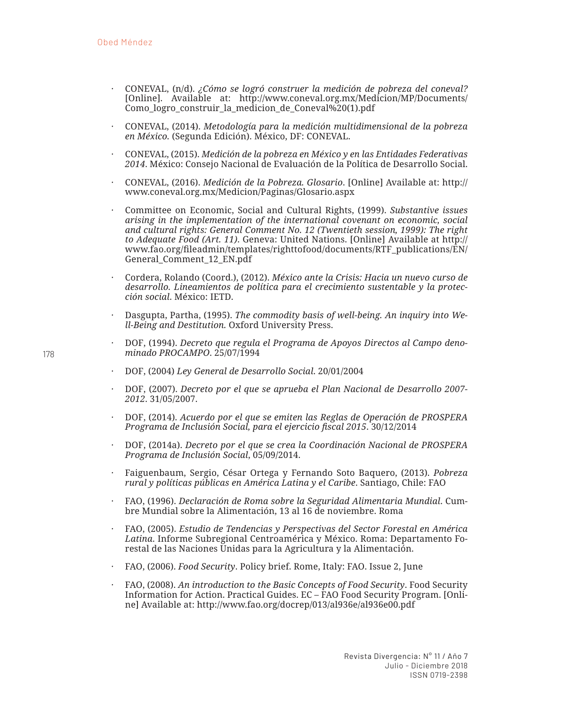- *·* CONEVAL, (n/d). *¿Cómo se logró construer la medición de pobreza del coneval?* [Online]. Available at: http://www.coneval.org.mx/Medicion/MP/Documents/ Como\_logro\_construir\_la\_medicion\_de\_Coneval%20(1).pdf
- *·* CONEVAL, (2014). *Metodología para la medición multidimensional de la pobreza en México.* (Segunda Edición). México, DF: CONEVAL.
- *·* CONEVAL, (2015). *Medición de la pobreza en México y en las Entidades Federativas 2014*. México: Consejo Nacional de Evaluación de la Política de Desarrollo Social.
- *·* CONEVAL, (2016). *Medición de la Pobreza. Glosario*. [Online] Available at: http:// www.coneval.org.mx/Medicion/Paginas/Glosario.aspx
- *·* Committee on Economic, Social and Cultural Rights, (1999). *Substantive issues arising in the implementation of the international covenant on economic, social and cultural rights: General Comment No. 12 (Twentieth session, 1999): The right to Adequate Food (Art. 11)*. Geneva: United Nations. [Online] Available at http:// www.fao.org/fileadmin/templates/righttofood/documents/RTF\_publications/EN/ General\_Comment\_12\_EN.pdf
- *·* Cordera, Rolando (Coord.), (2012). *México ante la Crisis: Hacia un nuevo curso de desarrollo. Lineamientos de política para el crecimiento sustentable y la protección social*. México: IETD.
- *·* Dasgupta, Partha, (1995). *The commodity basis of well-being. An inquiry into Well-Being and Destitution.* Oxford University Press.
- *·* DOF, (1994). *Decreto que regula el Programa de Apoyos Directos al Campo denominado PROCAMPO*. 25/07/1994
- *·* DOF, (2004) *Ley General de Desarrollo Social*. 20/01/2004
- *·* DOF, (2007). *Decreto por el que se aprueba el Plan Nacional de Desarrollo 2007- 2012*. 31/05/2007.
- *·* DOF, (2014). *Acuerdo por el que se emiten las Reglas de Operación de PROSPERA Programa de Inclusión Social, para el ejercicio fiscal 2015*. 30/12/2014
- *·* DOF, (2014a). *Decreto por el que se crea la Coordinación Nacional de PROSPERA Programa de Inclusión Social*, 05/09/2014.
- *·* Faiguenbaum, Sergio, César Ortega y Fernando Soto Baquero, (2013). *Pobreza rural y políticas públicas en América Latina y el Caribe*. Santiago, Chile: FAO
- *·* FAO, (1996). *Declaración de Roma sobre la Seguridad Alimentaria Mundial*. Cumbre Mundial sobre la Alimentación, 13 al 16 de noviembre. Roma
- *·* FAO, (2005). *Estudio de Tendencias y Perspectivas del Sector Forestal en América Latina*. Informe Subregional Centroamérica y México. Roma: Departamento Forestal de las Naciones Unidas para la Agricultura y la Alimentación.
- *·* FAO, (2006). *Food Security*. Policy brief. Rome, Italy: FAO. Issue 2, June
- *·* FAO, (2008). *An introduction to the Basic Concepts of Food Security*. Food Security Information for Action. Practical Guides. EC – FAO Food Security Program. [Online] Available at: http://www.fao.org/docrep/013/al936e/al936e00.pdf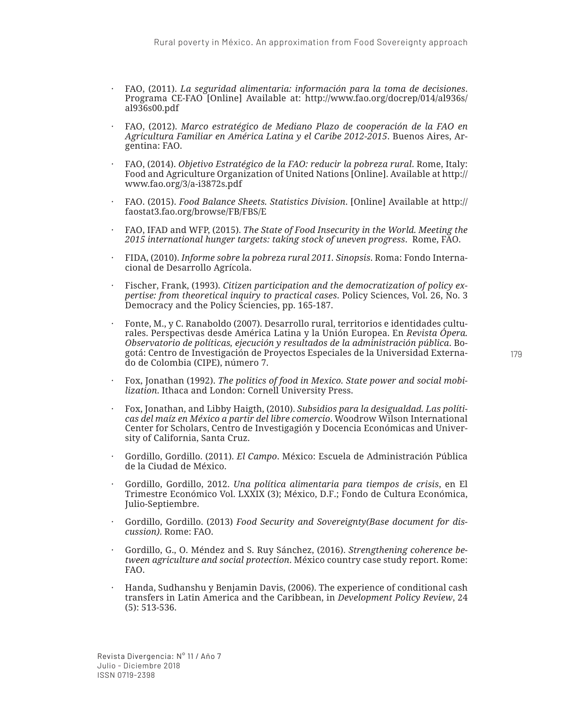- *·* FAO, (2011). *La seguridad alimentaria: información para la toma de decisiones*. Programa CE-FAO [Online] Available at: http://www.fao.org/docrep/014/al936s/ al936s00.pdf
- *·* FAO, (2012). *Marco estratégico de Mediano Plazo de cooperación de la FAO en Agricultura Familiar en América Latina y el Caribe 2012-2015*. Buenos Aires, Argentina: FAO.
- *·* FAO, (2014). *Objetivo Estratégico de la FAO: reducir la pobreza rural*. Rome, Italy: Food and Agriculture Organization of United Nations [Online]. Available at http:// www.fao.org/3/a-i3872s.pdf
- *·* FAO. (2015). *Food Balance Sheets. Statistics Division*. [Online] Available at http:// faostat3.fao.org/browse/FB/FBS/E
- *·* FAO, IFAD and WFP, (2015). *The State of Food Insecurity in the World. Meeting the 2015 international hunger targets: taking stock of uneven progress*. Rome, FAO.
- *·* FIDA, (2010). *Informe sobre la pobreza rural 2011. Sinopsis*. Roma: Fondo Internacional de Desarrollo Agrícola.
- *·* Fischer, Frank, (1993). *Citizen participation and the democratization of policy expertise: from theoretical inquiry to practical cases*. Policy Sciences, Vol. 26, No. 3 Democracy and the Policy Sciencies, pp. 165-187.
- *·* Fonte, M., y C. Ranaboldo (2007). Desarrollo rural, territorios e identidades culturales. Perspectivas desde América Latina y la Unión Europea. En *Revista Ópera. Observatorio de políticas, ejecución y resultados de la administración pública*. Bogotá: Centro de Investigación de Proyectos Especiales de la Universidad Externado de Colombia (CIPE), número 7.
- *·* Fox, Jonathan (1992). *The politics of food in Mexico. State power and social mobilization*. Ithaca and London: Cornell University Press.
- *·* Fox, Jonathan, and Libby Haigth, (2010). *Subsidios para la desigualdad. Las políticas del maíz en México a partir del libre comercio*. Woodrow Wilson International Center for Scholars, Centro de Investigagión y Docencia Económicas and University of California, Santa Cruz.
- *·* Gordillo, Gordillo. (2011). *El Campo*. México: Escuela de Administración Pública de la Ciudad de México.
- *·* Gordillo, Gordillo, 2012. *Una política alimentaria para tiempos de crisis*, en El Trimestre Económico Vol. LXXIX (3); México, D.F.; Fondo de Cultura Económica, Julio-Septiembre.
- *·* Gordillo, Gordillo. (2013) *Food Security and Sovereignty(Base document for discussion)*. Rome: FAO.
- *·* Gordillo, G., O. Méndez and S. Ruy Sánchez, (2016). *Strengthening coherence between agriculture and social protection*. México country case study report. Rome: FAO.
- *·* Handa, Sudhanshu y Benjamin Davis, (2006). The experience of conditional cash transfers in Latin America and the Caribbean, in *Development Policy Review*, 24 (5): 513-536.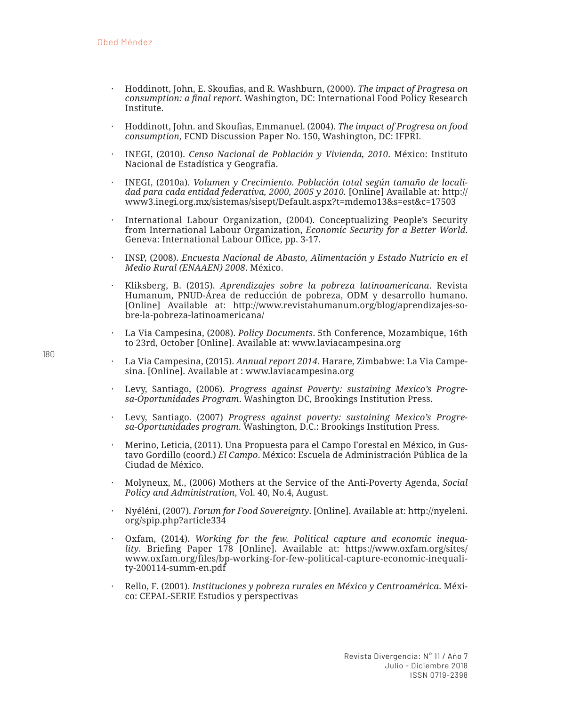- *·* Hoddinott, John, E. Skoufias, and R. Washburn, (2000). *The impact of Progresa on consumption: a final report*. Washington, DC: International Food Policy Research Institute.
- *·* Hoddinott, John. and Skoufias, Emmanuel. (2004). *The impact of Progresa on food consumption*, FCND Discussion Paper No. 150, Washington, DC: IFPRI.
- *·* INEGI, (2010). *Censo Nacional de Población y Vivienda, 2010*. México: Instituto Nacional de Estadística y Geografía.
- *·* INEGI, (2010a). *Volumen y Crecimiento. Población total según tamaño de localidad para cada entidad federativa, 2000, 2005 y 2010.* [Online] Available at: http:// www3.inegi.org.mx/sistemas/sisept/Default.aspx?t=mdemo13&s=est&c=17503
- *·* International Labour Organization, (2004). Conceptualizing People's Security from International Labour Organization, *Economic Security for a Better World*. Geneva: International Labour Office, pp. 3-17.
- *·* INSP, (2008). *Encuesta Nacional de Abasto, Alimentación y Estado Nutricio en el Medio Rural (ENAAEN) 2008*. México.
- *·* Kliksberg, B. (2015). *Aprendizajes sobre la pobreza latinoamericana*. Revista Humanum, PNUD-Área de reducción de pobreza, ODM y desarrollo humano. [Online] Available at: http://www.revistahumanum.org/blog/aprendizajes-sobre-la-pobreza-latinoamericana/
- *·* La Via Campesina, (2008). *Policy Documents*. 5th Conference, Mozambique, 16th to 23rd, October [Online]. Available at: www.laviacampesina.org
- *·* La Via Campesina, (2015). *Annual report 2014*. Harare, Zimbabwe: La Via Campesina. [Online]. Available at : www.laviacampesina.org
- *·* Levy, Santiago, (2006). *Progress against Poverty: sustaining Mexico's Progresa-Oportunidades Program*. Washington DC, Brookings Institution Press.
- *·* Levy, Santiago. (2007) *Progress against poverty: sustaining Mexico's Progresa-Oportunidades program*. Washington, D.C.: Brookings Institution Press.
- *·* Merino, Leticia, (2011). Una Propuesta para el Campo Forestal en México, in Gustavo Gordillo (coord.) *El Campo*. México: Escuela de Administración Pública de la Ciudad de México.
- *·* Molyneux, M., (2006) Mothers at the Service of the Anti-Poverty Agenda, *Social Policy and Administration*, Vol. 40, No.4, August.
- *·* Nyéléni, (2007). *Forum for Food Sovereignty*. [Online]. Available at: http://nyeleni. org/spip.php?article334
- *·* Oxfam, (2014). *Working for the few. Political capture and economic inequality*. Briefing Paper 178 [Online]. Available at: https://www.oxfam.org/sites/ www.oxfam.org/files/bp-working-for-few-political-capture-economic-inequality-200114-summ-en.pdf
- *·* Rello, F. (2001). *Instituciones y pobreza rurales en México y Centroamérica*. México: CEPAL-SERIE Estudios y perspectivas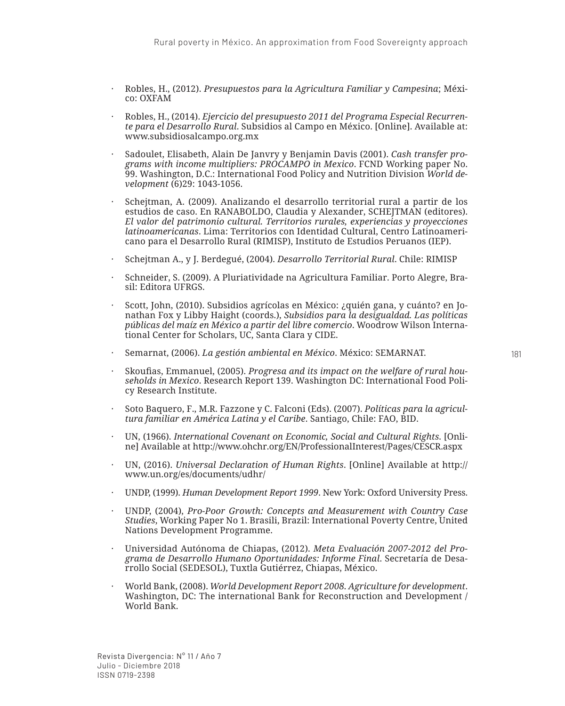- *·* Robles, H., (2012). *Presupuestos para la Agricultura Familiar y Campesina*; México: OXFAM
- *·* Robles, H., (2014). *Ejercicio del presupuesto 2011 del Programa Especial Recurrente para el Desarrollo Rural*. Subsidios al Campo en México. [Online]. Available at: www.subsidiosalcampo.org.mx
- *·* Sadoulet, Elisabeth, Alain De Janvry y Benjamin Davis (2001). *Cash transfer programs with income multipliers: PROCAMPO in Mexico*. FCND Working paper No. 99. Washington, D.C.: International Food Policy and Nutrition Division *World development* (6)29: 1043-1056.
- *·* Schejtman, A. (2009). Analizando el desarrollo territorial rural a partir de los estudios de caso. En RANABOLDO, Claudia y Alexander, SCHEJTMAN (editores). *El valor del patrimonio cultural. Territorios rurales, experiencias y proyecciones latinoamericanas*. Lima: Territorios con Identidad Cultural, Centro Latinoamericano para el Desarrollo Rural (RIMISP), Instituto de Estudios Peruanos (IEP).
- *·* Schejtman A., y J. Berdegué, (2004). *Desarrollo Territorial Rural*. Chile: RIMISP
- *·* Schneider, S. (2009). A Pluriatividade na Agricultura Familiar. Porto Alegre, Brasil: Editora UFRGS.
- *·* Scott, John, (2010). Subsidios agrícolas en México: ¿quién gana, y cuánto? en Jonathan Fox y Libby Haight (coords.), *Subsidios para la desigualdad. Las políticas públicas del maíz en México a partir del libre comercio*. Woodrow Wilson International Center for Scholars, UC, Santa Clara y CIDE.
- *·* Semarnat, (2006). *La gestión ambiental en México*. México: SEMARNAT.
- *·* Skoufias, Emmanuel, (2005). *Progresa and its impact on the welfare of rural households in Mexico*. Research Report 139. Washington DC: International Food Policy Research Institute.
- *·* Soto Baquero, F., M.R. Fazzone y C. Falconi (Eds). (2007). *Políticas para la agricultura familiar en América Latina y el Caribe*. Santiago, Chile: FAO, BID.
- *·* UN, (1966). *International Covenant on Economic, Social and Cultural Rights*. [Online] Available at http://www.ohchr.org/EN/ProfessionalInterest/Pages/CESCR.aspx
- *·* UN, (2016). *Universal Declaration of Human Rights*. [Online] Available at http:// www.un.org/es/documents/udhr/
- *·* UNDP, (1999). *Human Development Report 1999*. New York: Oxford University Press.
- *·* UNDP, (2004), *Pro-Poor Growth: Concepts and Measurement with Country Case Studies*, Working Paper No 1. Brasili, Brazil: International Poverty Centre, United Nations Development Programme.
- *·* Universidad Autónoma de Chiapas, (2012). *Meta Evaluación 2007-2012 del Programa de Desarrollo Humano Oportunidades: Informe Final*. Secretaría de Desarrollo Social (SEDESOL), Tuxtla Gutiérrez, Chiapas, México.
- *·* World Bank, (2008). *World Development Report 2008. Agriculture for development*. Washington, DC: The international Bank for Reconstruction and Development / World Bank.